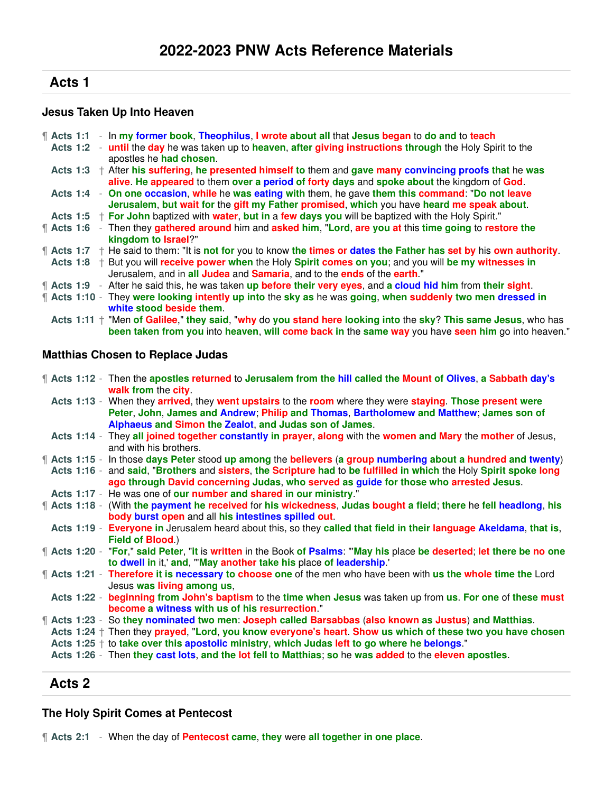# **Acts 1**

### **Jesus Taken Up Into Heaven**

|                        |  | <b>f</b> Acts 1:1 - In my former book, Theophilus, I wrote about all that Jesus began to do and to teach                       |
|------------------------|--|--------------------------------------------------------------------------------------------------------------------------------|
|                        |  | Acts 1:2 - until the day he was taken up to heaven, after giving instructions through the Holy Spirit to the                   |
|                        |  | apostles he had chosen.                                                                                                        |
|                        |  | Acts 1:3 $+$ After his suffering, he presented himself to them and gave many convincing proofs that he was                     |
|                        |  | alive. He appeared to them over a period of forty days and spoke about the kingdom of God.                                     |
|                        |  | Acts 1:4 - On one occasion, while he was eating with them, he gave them this command: "Do not leave                            |
|                        |  | Jerusalem, but wait for the gift my Father promised, which you have heard me speak about.                                      |
|                        |  | Acts 1:5 $+$ For John baptized with water, but in a few days you will be baptized with the Holy Spirit."                       |
| $\parallel$ Acts 1:6 - |  | Then they gathered around him and asked him, "Lord, are you at this time going to restore the                                  |
|                        |  | kingdom to Israel?"                                                                                                            |
|                        |  | $\parallel$ Acts 1:7 + He said to them: "It is not for you to know the times or dates the Father has set by his own authority. |
|                        |  | Acts 1:8 $+$ But you will receive power when the Holy Spirit comes on you; and you will be my witnesses in                     |
|                        |  | Jerusalem, and in all Judea and Samaria, and to the ends of the earth."                                                        |
|                        |  | <b>f</b> Acts 1:9 - After he said this, he was taken up before their very eyes, and a cloud hid him from their sight.          |
|                        |  | <b>f</b> Acts 1:10 - They were looking intently up into the sky as he was going, when suddenly two men dressed in              |
|                        |  | white stood beside them.                                                                                                       |
|                        |  | Acts 1:11 + "Men of Galilee," they said, "why do you stand here looking into the sky? This same Jesus, who has                 |
|                        |  | been taken from you into heaven, will come back in the same way you have seen him go into heaven."                             |
|                        |  |                                                                                                                                |

#### **Matthias Chosen to Replace Judas**

|  | <b>f</b> Acts 1:12 - Then the apostles returned to Jerusalem from the hill called the Mount of Olives, a Sabbath day's<br>walk from the city                                                                                                                                                                                                                                                                                                  |
|--|-----------------------------------------------------------------------------------------------------------------------------------------------------------------------------------------------------------------------------------------------------------------------------------------------------------------------------------------------------------------------------------------------------------------------------------------------|
|  | Acts 1:13 - When they arrived, they went upstairs to the room where they were staying. Those present were<br>Peter, John, James and Andrew; Philip and Thomas, Bartholomew and Matthew; James son of<br>Alphaeus and Simon the Zealot, and Judas son of James.                                                                                                                                                                                |
|  | Acts 1:14 - They all joined together constantly in prayer, along with the women and Mary the mother of Jesus,<br>and with his brothers.                                                                                                                                                                                                                                                                                                       |
|  | <b>f</b> Acts 1:15 - In those days Peter stood up among the believers (a group numbering about a hundred and twenty)                                                                                                                                                                                                                                                                                                                          |
|  | Acts 1:16 - and said, "Brothers and sisters, the Scripture had to be fulfilled in which the Holy Spirit spoke long<br>ago through David concerning Judas, who served as guide for those who arrested Jesus.                                                                                                                                                                                                                                   |
|  | Acts 1:17 - He was one of our number and shared in our ministry."                                                                                                                                                                                                                                                                                                                                                                             |
|  | <b>f</b> Acts 1:18 - (With the payment he received for his wickedness, Judas bought a field; there he fell headlong, his<br>body burst open and all his intestines spilled out.                                                                                                                                                                                                                                                               |
|  | Acts 1:19 - Everyone in Jerusalem heard about this, so they called that field in their language Akeldama, that is,<br>Field of Blood.)                                                                                                                                                                                                                                                                                                        |
|  | <b>f</b> Acts 1:20 - "For," said Peter, "it is written in the Book of Psalms: ""May his place be deserted; let there be no one<br>to dwell in it,' and, "'May another take his place of leadership.'                                                                                                                                                                                                                                          |
|  | <b>f</b> Acts 1:21 - Therefore it is necessary to choose one of the men who have been with us the whole time the Lord<br>Jesus was living among us,                                                                                                                                                                                                                                                                                           |
|  | Acts 1:22 - beginning from John's baptism to the time when Jesus was taken up from us. For one of these must<br>become a witness with us of his resurrection."                                                                                                                                                                                                                                                                                |
|  | ¶ Acts 1:23 - So they nominated two men: Joseph called Barsabbas (also known as Justus) and Matthias.<br>Acts $1:24 \uparrow$ Then they prayed, "Lord, you know everyone's heart. Show us which of these two you have chosen<br>Acts $1:25 \dagger$ to take over this apostolic ministry, which Judas left to go where he belongs."<br>Acts 1:26 - Then they cast lots, and the lot fell to Matthias; so he was added to the eleven apostles. |

# **Acts 2**

### **The Holy Spirit Comes at Pentecost**

¶ **Acts 2:1** - When the day of **Pentecost came**, **they** were **all together in one place**.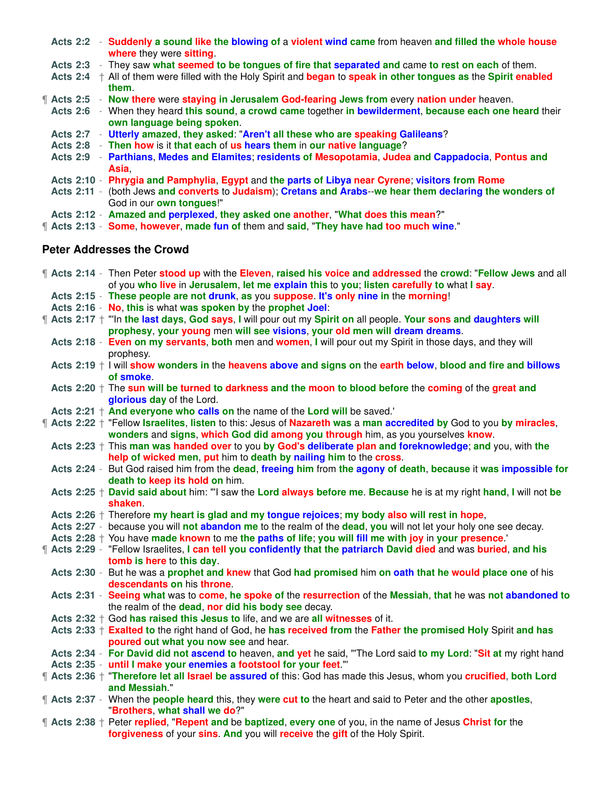| Acts 2:2 - Suddenly a sound like the blowing of a violent wind came from heaven and filled the whole house<br>where they were sitting.   |
|------------------------------------------------------------------------------------------------------------------------------------------|
| Acts 2:3 - They saw what seemed to be tongues of fire that separated and came to rest on each of them.                                   |
| Acts 2:4 $+$ All of them were filled with the Holy Spirit and began to speak in other tongues as the Spirit enabled<br>them.             |
| <b>f</b> Acts 2:5 - Now there were staying in Jerusalem God-fearing Jews from every nation under heaven.                                 |
| Acts 2:6 - When they heard this sound, a crowd came together in bewilderment, because each one heard their<br>own language being spoken. |
| Acts 2:7 - Utterly amazed, they asked: "Aren't all these who are speaking Galileans?                                                     |
| Acts 2:8 - Then how is it that each of us hears them in our native language?                                                             |
| Acts 2:9 - Parthians, Medes and Elamites; residents of Mesopotamia, Judea and Cappadocia, Pontus and<br><b>Asia</b>                      |
| Acts 2:10 - Phrygia and Pamphylia, Egypt and the parts of Libya near Cyrene; visitors from Rome                                          |
| Acts 2:11 - (both Jews and converts to Judaism); Cretans and Arabs--we hear them declaring the wonders of<br>God in our own tongues!"    |
| Acts 2:12 - Amazed and perplexed, they asked one another, "What does this mean?"                                                         |
| " Acts 2:13 - Some, however, made fun of them and said, "They have had too much wine."                                                   |
| Batan Adduction the Overrid                                                                                                              |

#### **Peter Addresses the Crowd**

|  | <b>If Acts 2:14 - Then Peter stood up with the Eleven, raised his voice and addressed the crowd: "Fellow Jews and all</b><br>of you who live in Jerusalem, let me explain this to you; listen carefully to what I say. |
|--|------------------------------------------------------------------------------------------------------------------------------------------------------------------------------------------------------------------------|
|  | Acts 2:15 - These people are not drunk, as you suppose. It's only nine in the morning!                                                                                                                                 |
|  | Acts 2:16 - No, this is what was spoken by the prophet Joel:                                                                                                                                                           |
|  | ¶ Acts 2:17 † "In the last days, God says, I will pour out my Spirit on all people. Your sons and daughters will                                                                                                       |
|  | prophesy, your young men will see visions, your old men will dream dreams.                                                                                                                                             |
|  | Acts 2:18 - Even on my servants, both men and women, I will pour out my Spirit in those days, and they will                                                                                                            |
|  | prophesy.                                                                                                                                                                                                              |
|  | Acts $2:19 + 1$ will show wonders in the heavens above and signs on the earth below, blood and fire and billows                                                                                                        |
|  | of smoke.                                                                                                                                                                                                              |
|  | Acts $2:20 +$ The sun will be turned to darkness and the moon to blood before the coming of the great and                                                                                                              |
|  | glorious day of the Lord.<br>Acts 2:21 $+$ And everyone who calls on the name of the Lord will be saved.'                                                                                                              |
|  |                                                                                                                                                                                                                        |
|  | ¶ Acts 2:22 † "Fellow Israelites, listen to this: Jesus of Nazareth was a man accredited by God to you by miracles,<br>wonders and signs, which God did among you through him, as you yourselves know.                 |
|  | Acts $2:23 +$ This man was handed over to you by God's deliberate plan and foreknowledge; and you, with the                                                                                                            |
|  | help of wicked men, put him to death by nailing him to the cross.                                                                                                                                                      |
|  | Acts 2:24 - But God raised him from the dead, freeing him from the agony of death, because it was impossible for                                                                                                       |
|  | death to keep its hold on him.                                                                                                                                                                                         |
|  | Acts 2:25 + David said about him: "I saw the Lord always before me. Because he is at my right hand, I will not be                                                                                                      |
|  | shaken                                                                                                                                                                                                                 |
|  | Acts $2:26$ $\dagger$ Therefore my heart is glad and my tongue rejoices; my body also will rest in hope,                                                                                                               |
|  |                                                                                                                                                                                                                        |
|  |                                                                                                                                                                                                                        |
|  | Acts 2:27 - because you will not abandon me to the realm of the dead, you will not let your holy one see decay.                                                                                                        |
|  | Acts 2:28 + You have made known to me the paths of life; you will fill me with joy in your presence.                                                                                                                   |
|  | <b>f</b> Acts 2:29 - "Fellow Israelites, I can tell you confidently that the patriarch David died and was buried, and his                                                                                              |
|  | tomb is here to this day.<br>Acts 2:30 - But he was a prophet and knew that God had promised him on oath that he would place one of his                                                                                |
|  | descendants on his throne.                                                                                                                                                                                             |
|  | Acts 2:31 - Seeing what was to come, he spoke of the resurrection of the Messiah, that he was not abandoned to                                                                                                         |
|  | the realm of the <b>dead</b> , nor did his body see decay.                                                                                                                                                             |
|  | Acts $2:32 +$ God has raised this Jesus to life, and we are all witnesses of it.                                                                                                                                       |
|  | Acts 2:33 + Exalted to the right hand of God, he has received from the Father the promised Holy Spirit and has                                                                                                         |
|  | poured out what you now see and hear.                                                                                                                                                                                  |
|  | Acts 2:34 - For David did not ascend to heaven, and yet he said, "The Lord said to my Lord: "Sit at my right hand                                                                                                      |
|  | Acts 2:35 - until I make your enemies a footstool for your feet."                                                                                                                                                      |
|  | Acts 2:36 + "Therefore let all Israel be assured of this: God has made this Jesus, whom you crucified, both Lord                                                                                                       |
|  | and Messiah."                                                                                                                                                                                                          |
|  | <b>f</b> Acts 2:37 - When the <b>people heard</b> this, they were cut to the heart and said to Peter and the other apostles,                                                                                           |
|  | "Brothers, what shall we do?"                                                                                                                                                                                          |
|  | Therefore 2:38 + Peter replied, "Repent and be baptized, every one of you, in the name of Jesus Christ for the<br>forgiveness of your sins. And you will receive the gift of the Holy Spirit.                          |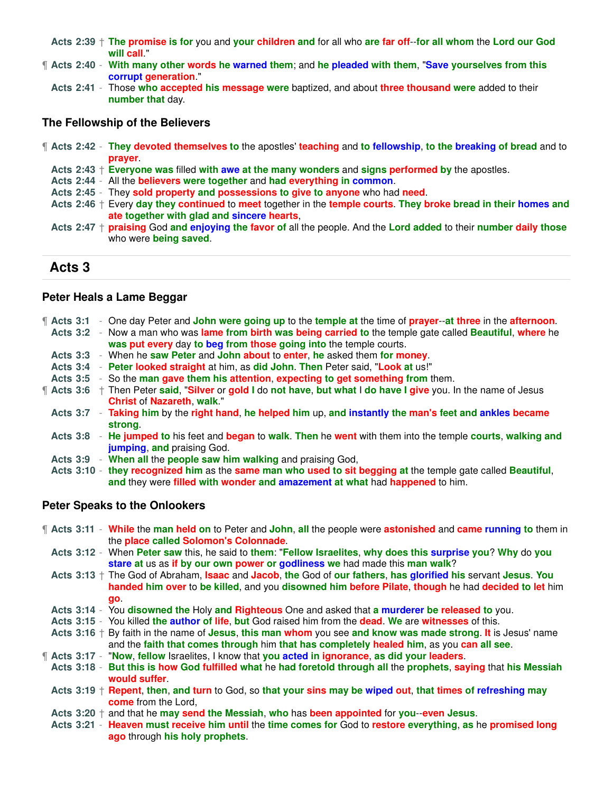**Acts 2:39** † **The promise is for** you and **your children and** for all who **are far off**--**for all whom** the **Lord our God will call**."

- ¶ **Acts 2:40 With many other words he warned them**; and **he pleaded with them**, "**Save yourselves from this corrupt generation**."
- **Acts 2:41** Those **who accepted his message were** baptized, and about **three thousand were** added to their **number that** day.

#### **The Fellowship of the Believers**

- ¶ **Acts 2:42 They devoted themselves to** the apostles' **teaching** and **to fellowship**, **to the breaking of bread** and to **prayer**.
	- **Acts 2:43** † **Everyone was** filled **with awe at the many wonders** and **signs performed by** the apostles.
	- **Acts 2:44** All the **believers were together** and **had everything in common**.
	- **Acts 2:45** They **sold property and possessions to give to anyone** who had **need**.
	- **Acts 2:46** † Every **day they continued** to **meet** together in the **temple courts**. **They broke bread in their homes and ate together with glad and sincere hearts**,
	- **Acts 2:47** † **praising** God **and enjoying the favor of** all the people. And the **Lord added** to their **number daily those** who were **being saved**.

### **Acts 3**

#### **Peter Heals a Lame Beggar**

| $\P$ Acts 3:1   |  | - One day Peter and John were going up to the temple at the time of prayer--at three in the afternoon.<br>Acts 3:2 - Now a man who was lame from birth was being carried to the temple gate called Beautiful, where he<br>was put every day to beg from those going into the temple courts. |
|-----------------|--|---------------------------------------------------------------------------------------------------------------------------------------------------------------------------------------------------------------------------------------------------------------------------------------------|
|                 |  | Acts 3:3 - When he saw Peter and John about to enter, he asked them for money.                                                                                                                                                                                                              |
| Acts $3:4$      |  | - Peter looked straight at him, as did John. Then Peter said, "Look at us!"                                                                                                                                                                                                                 |
| <b>Acts 3:5</b> |  | - So the man gave them his attention, expecting to get something from them.                                                                                                                                                                                                                 |
|                 |  | <b>f</b> Acts 3:6 † Then Peter said, "Silver or gold I do not have, but what I do have I give you. In the name of Jesus<br><b>Christ of Nazareth, walk."</b>                                                                                                                                |
|                 |  | Acts 3:7 - Taking him by the right hand, he helped him up, and instantly the man's feet and ankles became<br>strona.                                                                                                                                                                        |
|                 |  | Acts 3:8 - He jumped to his feet and began to walk. Then he went with them into the temple courts, walking and<br>jumping, and praising God.                                                                                                                                                |
|                 |  | Acts 3:9 - When all the people saw him walking and praising God,                                                                                                                                                                                                                            |
|                 |  | Acts 3:10 - they recognized him as the same man who used to sit begging at the temple gate called Beautiful,<br>and they were filled with wonder and amazement at what had happened to him.                                                                                                 |

#### **Peter Speaks to the Onlookers**

- ¶ **Acts 3:11 While** the **man held on** to Peter and **John**, **all** the people were **astonished** and **came running to** them in the **place called Solomon's Colonnade**.
- **Acts 3:12** When **Peter saw** this, he said to **them**: "**Fellow Israelites**, **why does this surprise you**? **Why** do **you stare at** us as **if by our own power or godliness we** had made this **man walk**?
- **Acts 3:13** † The God of Abraham, **Isaac** and **Jacob**, **the** God of **our fathers**, **has glorified his** servant **Jesus**. **You handed him over** to **be killed**, and you **disowned him before Pilate**, **though** he had **decided to let** him **go**.
- **Acts 3:14** You **disowned the** Holy **and Righteous** One and asked that **a murderer be released to** you.
- **Acts 3:15** You killed **the author of life**, **but** God raised him from the **dead**. **We** are **witnesses** of this.
- **Acts 3:16** † By faith in the name of **Jesus**, **this man whom** you see **and know was made strong**. **It** is Jesus' name and the **faith that comes through** him **that has completely healed him**, as you **can all see**.
- ¶ **Acts 3:17** "**Now**, **fellow** Israelites, I know that **you acted in ignorance**, **as did your leaders**.
- **Acts 3:18 But this is how God fulfilled what** he **had foretold through all** the **prophets**, **saying** that **his Messiah would suffer**.
- **Acts 3:19** † **Repent**, **then**, **and turn** to God, so **that your sins may be wiped out**, **that times of refreshing may come** from the Lord,
- **Acts 3:20** † and that he **may send the Messiah**, **who** has **been appointed** for **you**--**even Jesus**.
- **Acts 3:21 Heaven must receive him until** the **time comes for** God to **restore everything**, **as** he **promised long ago** through **his holy prophets**.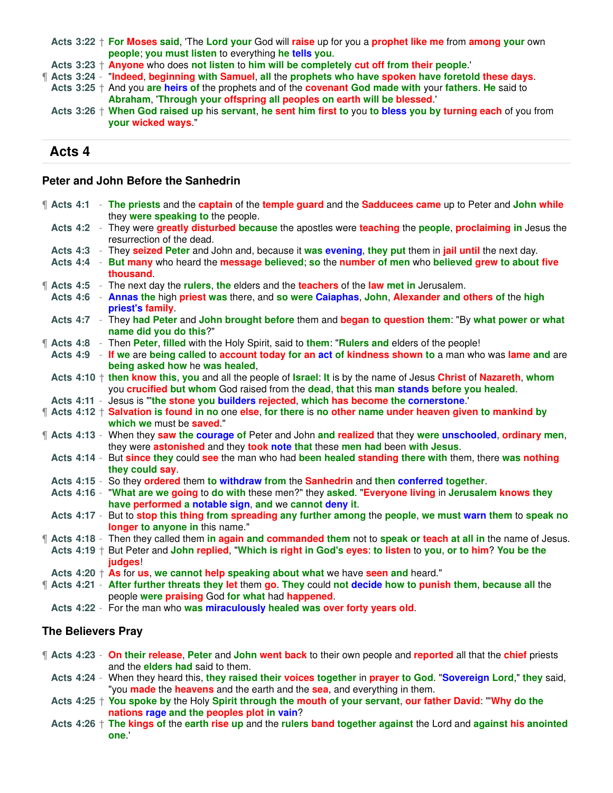**Acts 3:22** † **For Moses said**, 'The **Lord your** God will **raise** up for you a **prophet like me** from **among your** own **people**; **you must listen** to everything **he tells you**.

**Acts 3:23** † **Anyone** who does **not listen** to **him will be completely cut off from their people**.'

¶ **Acts 3:24** - "**Indeed**, **beginning with Samuel**, **all** the **prophets who have spoken have foretold these days**. **Acts 3:25** † And you **are heirs of** the prophets and of the **covenant God made with** your **fathers**. **He** said to

**Abraham**, '**Through your offspring all peoples on earth will be blessed**.' **Acts 3:26** † **When God raised up** his **servant**, **he sent him first to** you **to bless you by turning each** of you from **your wicked ways**."

### **Acts 4**

#### **Peter and John Before the Sanhedrin**

|  |  | If Acts 4:1 - The priests and the captain of the temple guard and the Sadducees came up to Peter and John while<br>they were speaking to the people.                                           |
|--|--|------------------------------------------------------------------------------------------------------------------------------------------------------------------------------------------------|
|  |  | Acts 4:2 - They were greatly disturbed because the apostles were teaching the people, proclaiming in Jesus the<br>resurrection of the dead.                                                    |
|  |  | Acts 4:3 - They seized Peter and John and, because it was evening, they put them in jail until the next day.                                                                                   |
|  |  | Acts 4:4 - But many who heard the message believed; so the number of men who believed grew to about five<br>thousand                                                                           |
|  |  | <b>f</b> Acts 4:5 - The next day the rulers, the elders and the teachers of the law met in Jerusalem.                                                                                          |
|  |  | Acts 4:6 - Annas the high priest was there, and so were Caiaphas, John, Alexander and others of the high<br>priest's family.                                                                   |
|  |  | Acts 4:7 - They had Peter and John brought before them and began to question them: "By what power or what<br>name did you do this?"                                                            |
|  |  | <b>f</b> Acts 4:8 - Then Peter, filled with the Holy Spirit, said to them: "Rulers and elders of the people!                                                                                   |
|  |  | Acts 4:9 - If we are being called to account today for an act of kindness shown to a man who was lame and are                                                                                  |
|  |  | being asked how he was healed,                                                                                                                                                                 |
|  |  | Acts $4:10 +$ then know this, you and all the people of Israel: It is by the name of Jesus Christ of Nazareth, whom                                                                            |
|  |  | you crucified but whom God raised from the dead, that this man stands before you healed.                                                                                                       |
|  |  | Acts 4:11 - Jesus is "the stone you builders rejected, which has become the cornerstone."                                                                                                      |
|  |  | ¶ Acts 4:12 † Salvation is found in no one else, for there is no other name under heaven given to mankind by<br>which we must be saved."                                                       |
|  |  | [ Acts 4:13 - When they saw the courage of Peter and John and realized that they were unschooled, ordinary men,<br>they were astonished and they took note that these men had been with Jesus. |
|  |  | Acts 4:14 - But since they could see the man who had been healed standing there with them, there was nothing<br>they could say.                                                                |
|  |  | Acts 4:15 - So they ordered them to withdraw from the Sanhedrin and then conferred together.                                                                                                   |
|  |  | Acts 4:16 - "What are we going to do with these men?" they asked. "Everyone living in Jerusalem knows they<br>have performed a notable sign, and we cannot deny it.                            |
|  |  | Acts 4:17 - But to stop this thing from spreading any further among the people, we must warn them to speak no<br>longer to anyone in this name."                                               |
|  |  | <b>f</b> Acts 4:18 - Then they called them in again and commanded them not to speak or teach at all in the name of Jesus.                                                                      |
|  |  | Acts 4:19 + But Peter and John replied, "Which is right in God's eyes: to listen to you, or to him? You be the<br>judges!                                                                      |
|  |  | Acts $4:20 + As$ for us, we cannot help speaking about what we have seen and heard."                                                                                                           |
|  |  | ¶ Acts 4:21 - After further threats they let them go. They could not decide how to punish them, because all the<br>people were praising God for what had happened.                             |
|  |  | Acts 4:22 - For the man who was miraculously healed was over forty years old.                                                                                                                  |
|  |  |                                                                                                                                                                                                |

#### **The Believers Pray**

¶ **Acts 4:23** - **On their release**, **Peter** and **John went back** to their own people and **reported** all that the **chief** priests and the **elders had** said to them.

- **Acts 4:24** When they heard this, **they raised their voices together** in **prayer to God**. "**Sovereign Lord**," **they** said, "you **made** the **heavens** and the earth and the **sea**, and everything in them.
- **Acts 4:25** † **You spoke by** the Holy **Spirit through the mouth of your servant**, **our father David**: "'**Why do the nations rage and the peoples plot in vain**?
- **Acts 4:26** † **The kings of** the **earth rise up** and the **rulers band together against** the Lord and **against his anointed one**.'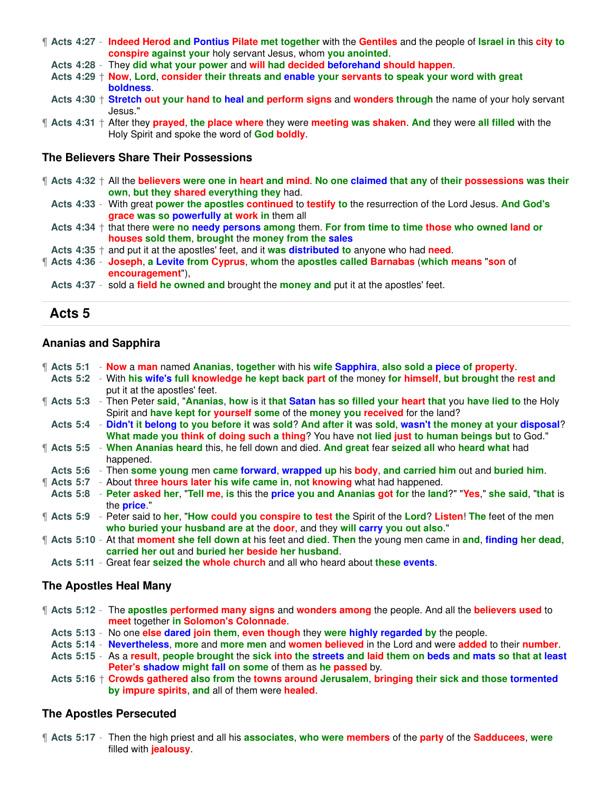- ¶ **Acts 4:27 Indeed Herod and Pontius Pilate met together** with the **Gentiles** and the people of **Israel in** this **city to conspire against your** holy servant Jesus, whom **you anointed**.
	- **Acts 4:28** They **did what your power** and **will had decided beforehand should happen**.
	- **Acts 4:29** † **Now**, **Lord**, **consider their threats and enable your servants to speak your word with great boldness**.
	- **Acts 4:30** † **Stretch out your hand to heal and perform signs** and **wonders through** the name of your holy servant Jesus."
- ¶ **Acts 4:31** † After they **prayed**, **the place where** they were **meeting was shaken**. **And** they were **all filled** with the Holy Spirit and spoke the word of **God boldly**.

#### **The Believers Share Their Possessions**

- ¶ **Acts 4:32** † All the **believers were one in heart and mind**. **No one claimed that any** of **their possessions was their own**, **but they shared everything they** had.
- **Acts 4:33** With great **power the apostles continued** to **testify to** the resurrection of the Lord Jesus. **And God's grace was so powerfully at work in** them all
- **Acts 4:34** † that there **were no needy persons among** them. **For from time to time those who owned land or houses sold them**, **brought** the **money from the sales**
- **Acts 4:35** † and put it at the apostles' feet, and it **was distributed to** anyone who had **need**.
- ¶ **Acts 4:36 Joseph**, **a Levite from Cyprus**, **whom** the **apostles called Barnabas** (**which means** "**son** of **encouragement**"),
- **Acts 4:37** sold a **field he owned and** brought the **money and** put it at the apostles' feet.

#### **Acts 5**

#### **Ananias and Sapphira**

|  |  | <b>f</b> Acts 5:1 - Now a man named Ananias, together with his wife Sapphira, also sold a piece of property.                |
|--|--|-----------------------------------------------------------------------------------------------------------------------------|
|  |  | Acts 5:2 - With his wife's full knowledge he kept back part of the money for himself, but brought the rest and              |
|  |  | put it at the apostles' feet.                                                                                               |
|  |  | <b>f</b> Acts 5:3 - Then Peter said, "Ananias, how is it that Satan has so filled your heart that you have lied to the Holy |
|  |  | Spirit and have kept for yourself some of the money you received for the land?                                              |
|  |  | Acts 5:4 - Didn't it belong to you before it was sold? And after it was sold, wasn't the money at your disposal?            |
|  |  | What made you think of doing such a thing? You have not lied just to human beings but to God."                              |
|  |  | <b>f</b> Acts 5:5 - When Ananias heard this, he fell down and died. And great fear seized all who heard what had            |
|  |  | happened.                                                                                                                   |
|  |  | Acts 5:6 - Then some young men came forward, wrapped up his body, and carried him out and buried him.                       |
|  |  | <b>f</b> Acts 5:7 - About three hours later his wife came in, not knowing what had happened.                                |
|  |  | Acts 5:8 - Peter asked her, "Tell me, is this the price you and Ananias got for the land?" "Yes," she said, "that is        |
|  |  | the <b>price</b> ."                                                                                                         |
|  |  | <b>f</b> Acts 5:9 - Peter said to her, "How could you conspire to test the Spirit of the Lord? Listen! The feet of the men  |
|  |  | who buried your husband are at the door, and they will carry you out also."                                                 |
|  |  | <b>f</b> Acts 5:10 - At that moment she fell down at his feet and died. Then the young men came in and, finding her dead,   |
|  |  | carried her out and buried her beside her husband.                                                                          |
|  |  | Acts 5:11 - Great fear seized the whole church and all who heard about these events.                                        |

#### **The Apostles Heal Many**

- ¶ **Acts 5:12** The **apostles performed many signs** and **wonders among** the people. And all the **believers used** to **meet** together **in Solomon's Colonnade**.
	- **Acts 5:13** No one **else dared join them**, **even though** they **were highly regarded by** the people.
	- **Acts 5:14 Nevertheless**, **more** and **more men** and **women believed** in the Lord and were **added** to their **number**.
	- **Acts 5:15** As a **result**, **people brought** the **sick into the streets and laid them on beds and mats so that at least Peter's shadow might fall on some** of them as **he passed** by.
	- **Acts 5:16** † **Crowds gathered also from** the **towns around Jerusalem**, **bringing their sick and those tormented by impure spirits**, **and** all of them were **healed**.

#### **The Apostles Persecuted**

¶ **Acts 5:17** - Then the high priest and all his **associates**, **who were members** of the **party** of the **Sadducees**, **were** filled with **jealousy**.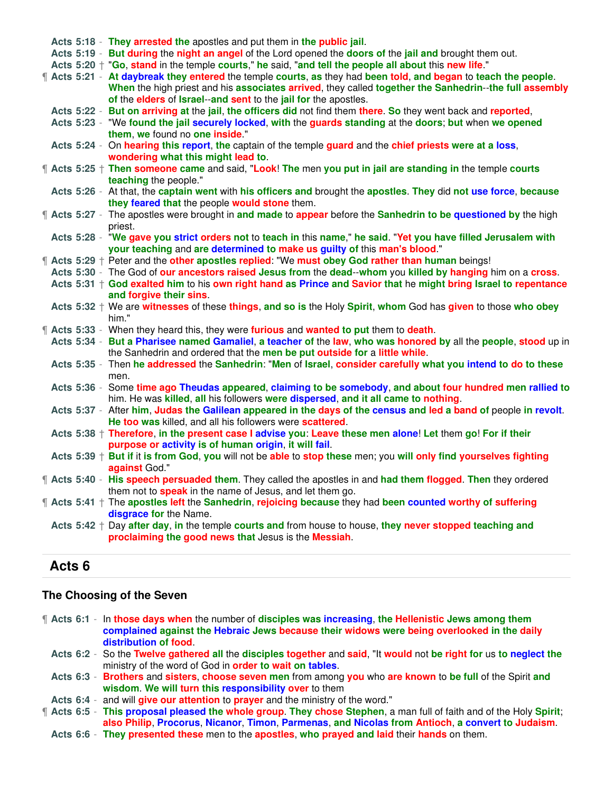|  | Acts 5:18 - They arrested the apostles and put them in the public jail.                                                                                                                         |
|--|-------------------------------------------------------------------------------------------------------------------------------------------------------------------------------------------------|
|  | Acts 5:19 - But during the night an angel of the Lord opened the doors of the jail and brought them out.                                                                                        |
|  | Acts 5:20 + "Go, stand in the temple courts," he said, "and tell the people all about this new life."                                                                                           |
|  | 1 Acts 5:21 - At daybreak they entered the temple courts, as they had been told, and began to teach the people.                                                                                 |
|  | When the high priest and his associates arrived, they called together the Sanhedrin--the full assembly                                                                                          |
|  | of the elders of Israel--and sent to the jail for the apostles.                                                                                                                                 |
|  | Acts 5:22 - But on arriving at the jail, the officers did not find them there. So they went back and reported,                                                                                  |
|  | Acts 5:23 - "We found the jail securely locked, with the guards standing at the doors; but when we opened                                                                                       |
|  | them, we found no one inside."                                                                                                                                                                  |
|  | Acts 5:24 - On hearing this report, the captain of the temple guard and the chief priests were at a loss,                                                                                       |
|  | wondering what this might lead to.                                                                                                                                                              |
|  | <b>f</b> Acts 5:25 <sup>+</sup> Then someone came and said, "Look! The men you put in jail are standing in the temple courts<br>teaching the people."                                           |
|  | Acts 5:26 - At that, the captain went with his officers and brought the apostles. They did not use force, because                                                                               |
|  | they feared that the people would stone them.                                                                                                                                                   |
|  | <b>f</b> Acts 5:27 - The apostles were brought in and made to appear before the Sanhedrin to be questioned by the high                                                                          |
|  | priest.                                                                                                                                                                                         |
|  | Acts 5:28 - "We gave you strict orders not to teach in this name," he said. "Yet you have filled Jerusalem with                                                                                 |
|  | your teaching and are determined to make us guilty of this man's blood."                                                                                                                        |
|  | <b>f</b> Acts 5:29 <sup>+</sup> Peter and the other apostles replied: "We must obey God rather than human beings!                                                                               |
|  | Acts 5:30 - The God of our ancestors raised Jesus from the dead--whom you killed by hanging him on a cross.                                                                                     |
|  | Acts $5:31 \dagger$ God exalted him to his own right hand as Prince and Savior that he might bring Israel to repentance<br>and forgive their sins.                                              |
|  | Acts 5:32 + We are witnesses of these things, and so is the Holy Spirit, whom God has given to those who obey<br>him."                                                                          |
|  | <b>[44]</b> Acts 5:33 - When they heard this, they were <b>furious</b> and <b>wanted to put</b> them to <b>death</b> .                                                                          |
|  | Acts 5:34 - But a Pharisee named Gamaliel, a teacher of the law, who was honored by all the people, stood up in                                                                                 |
|  | the Sanhedrin and ordered that the men be put outside for a little while.                                                                                                                       |
|  | Acts 5:35 - Then he addressed the Sanhedrin: "Men of Israel, consider carefully what you intend to do to these                                                                                  |
|  | men.                                                                                                                                                                                            |
|  | Acts 5:36 - Some time ago Theudas appeared, claiming to be somebody, and about four hundred men rallied to<br>him. He was killed, all his followers were dispersed, and it all came to nothing. |
|  | Acts 5:37 - After him, Judas the Galilean appeared in the days of the census and led a band of people in revolt.                                                                                |
|  | He too was killed, and all his followers were scattered.                                                                                                                                        |
|  | Acts 5:38 + Therefore, in the present case I advise you: Leave these men alone! Let them go! For if their                                                                                       |
|  | purpose or activity is of human origin, it will fail.                                                                                                                                           |
|  | Acts 5:39 + But if it is from God, you will not be able to stop these men; you will only find yourselves fighting<br>against God."                                                              |
|  | Therefores 5:40 - His speech persuaded them. They called the apostles in and had them flogged. Then they ordered                                                                                |
|  | them not to <b>speak</b> in the name of Jesus, and let them go.                                                                                                                                 |
|  | ¶ Acts 5:41 † The apostles left the Sanhedrin, rejoicing because they had been counted worthy of suffering                                                                                      |
|  | disgrace for the Name.                                                                                                                                                                          |
|  | Acts $5:42 + Day$ after day, in the temple courts and from house to house, they never stopped teaching and<br>proclaiming the good news that Jesus is the Messiah.                              |

# **Acts 6**

### **The Choosing of the Seven**

¶ **Acts 6:1** - In **those days when** the number of **disciples was increasing**, **the Hellenistic Jews among them complained against the Hebraic Jews because their widows were being overlooked in the daily distribution of food**.

**Acts 6:2** - So the **Twelve gathered all** the **disciples together** and **said**, "It **would** not **be right for** us **to neglect the** ministry of the word of God in **order to wait on tables**.

**Acts 6:3** - **Brothers** and **sisters**, **choose seven men** from among **you** who **are known** to **be full** of the Spirit **and wisdom**. **We will turn this responsibility over** to them

**Acts 6:4** - and will **give our attention** to **prayer** and the ministry of the word."

¶ **Acts 6:5** - **This proposal pleased the whole group**. **They chose Stephen**, a man full of faith and of the Holy **Spirit**; **also Philip**, **Procorus**, **Nicanor**, **Timon**, **Parmenas**, **and Nicolas from Antioch**, **a convert to Judaism**.

**Acts 6:6** - **They presented these** men to the **apostles**, **who prayed and laid** their **hands** on them.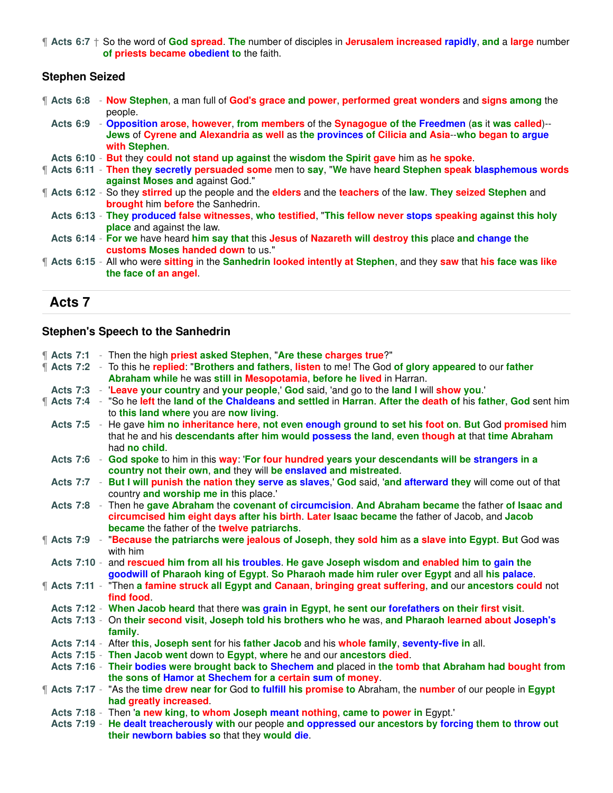¶ **Acts 6:7** † So the word of **God spread**. **The** number of disciples in **Jerusalem increased rapidly**, **and** a **large** number **of priests became obedient to** the faith.

# **Stephen Seized**

|  |  | <b>f</b> Acts 6:8 - Now Stephen, a man full of God's grace and power, performed great wonders and signs among the<br>people.                                                                                                |
|--|--|-----------------------------------------------------------------------------------------------------------------------------------------------------------------------------------------------------------------------------|
|  |  | Acts 6:9 - Opposition arose, however, from members of the Synagogue of the Freedmen (as it was called)--<br>Jews of Cyrene and Alexandria as well as the provinces of Cilicia and Asia--who began to argue<br>with Stephen. |
|  |  | Acts 6:10 - But they could not stand up against the wisdom the Spirit gave him as he spoke.                                                                                                                                 |
|  |  | <b>f</b> Acts 6:11 - Then they secretly persuaded some men to say, "We have heard Stephen speak blasphemous words<br>against Moses and against God."                                                                        |
|  |  | <b>f</b> Acts 6:12 - So they stirred up the people and the elders and the teachers of the law. They seized Stephen and<br><b>brought</b> him before the Sanhedrin.                                                          |
|  |  | Acts 6:13 - They produced false witnesses, who testified, "This fellow never stops speaking against this holy<br><b>place</b> and against the law.                                                                          |
|  |  | Acts 6:14 - For we have heard him say that this Jesus of Nazareth will destroy this place and change the<br>customs Moses handed down to us."                                                                               |
|  |  | <b>f</b> Acts 6:15 - All who were sitting in the Sanhedrin looked intently at Stephen, and they saw that his face was like<br>the face of an angel.                                                                         |

# **Acts 7**

## **Stephen's Speech to the Sanhedrin**

|  |  | "Acts 7:1 - Then the high priest asked Stephen, "Are these charges true?"                                                                                                                                               |
|--|--|-------------------------------------------------------------------------------------------------------------------------------------------------------------------------------------------------------------------------|
|  |  | <b>f</b> Acts 7:2 - To this he replied: "Brothers and fathers, listen to me! The God of glory appeared to our father                                                                                                    |
|  |  | Abraham while he was still in Mesopotamia, before he lived in Harran.                                                                                                                                                   |
|  |  | Acts 7:3 - Leave your country and your people,' God said, 'and go to the land I will show you.'                                                                                                                         |
|  |  | T Acts 7:4 - "So he left the land of the Chaldeans and settled in Harran. After the death of his father, God sent him                                                                                                   |
|  |  | to this land where you are now living.                                                                                                                                                                                  |
|  |  | Acts 7:5 - He gave him no inheritance here, not even enough ground to set his foot on. But God promised him                                                                                                             |
|  |  | that he and his descendants after him would possess the land, even though at that time Abraham                                                                                                                          |
|  |  | had no child.                                                                                                                                                                                                           |
|  |  | Acts 7:6 - God spoke to him in this way: 'For four hundred years your descendants will be strangers in a                                                                                                                |
|  |  | country not their own, and they will be enslaved and mistreated.                                                                                                                                                        |
|  |  | Acts 7:7 - But I will punish the nation they serve as slaves,' God said, 'and afterward they will come out of that                                                                                                      |
|  |  | country and worship me in this place.'                                                                                                                                                                                  |
|  |  | Acts 7:8 - Then he gave Abraham the covenant of circumcision. And Abraham became the father of Isaac and                                                                                                                |
|  |  | circumcised him eight days after his birth. Later Isaac became the father of Jacob, and Jacob                                                                                                                           |
|  |  | became the father of the twelve patriarchs.                                                                                                                                                                             |
|  |  | Therm Acts 7:9 - "Because the patriarchs were jealous of Joseph, they sold him as a slave into Egypt. But God was                                                                                                       |
|  |  | with him                                                                                                                                                                                                                |
|  |  | Acts 7:10 - and rescued him from all his troubles. He gave Joseph wisdom and enabled him to gain the                                                                                                                    |
|  |  | goodwill of Pharaoh king of Egypt. So Pharaoh made him ruler over Egypt and all his palace.                                                                                                                             |
|  |  | Acts 7:11 - "Then a famine struck all Egypt and Canaan, bringing great suffering, and our ancestors could not                                                                                                           |
|  |  | find food                                                                                                                                                                                                               |
|  |  | Acts 7:12 - When Jacob heard that there was grain in Egypt, he sent our forefathers on their first visit.<br>Acts 7:13 - On their second visit, Joseph told his brothers who he was, and Pharaoh learned about Joseph's |
|  |  | family.                                                                                                                                                                                                                 |
|  |  | Acts 7:14 - After this, Joseph sent for his father Jacob and his whole family, seventy-five in all.                                                                                                                     |
|  |  | Acts 7:15 - Then Jacob went down to Egypt, where he and our ancestors died.                                                                                                                                             |
|  |  | Acts 7:16 - Their bodies were brought back to Shechem and placed in the tomb that Abraham had bought from                                                                                                               |
|  |  | the sons of Hamor at Shechem for a certain sum of money.                                                                                                                                                                |
|  |  | <b>f</b> Acts 7:17 - "As the time drew near for God to fulfill his promise to Abraham, the number of our people in Egypt                                                                                                |
|  |  | had greatly increased.                                                                                                                                                                                                  |
|  |  | Acts 7:18 - Then 'a new king, to whom Joseph meant nothing, came to power in Egypt."                                                                                                                                    |
|  |  | Acts 7:19 - He dealt treacherously with our people and oppressed our ancestors by forcing them to throw out                                                                                                             |
|  |  | their newborn babies so that they would die.                                                                                                                                                                            |
|  |  |                                                                                                                                                                                                                         |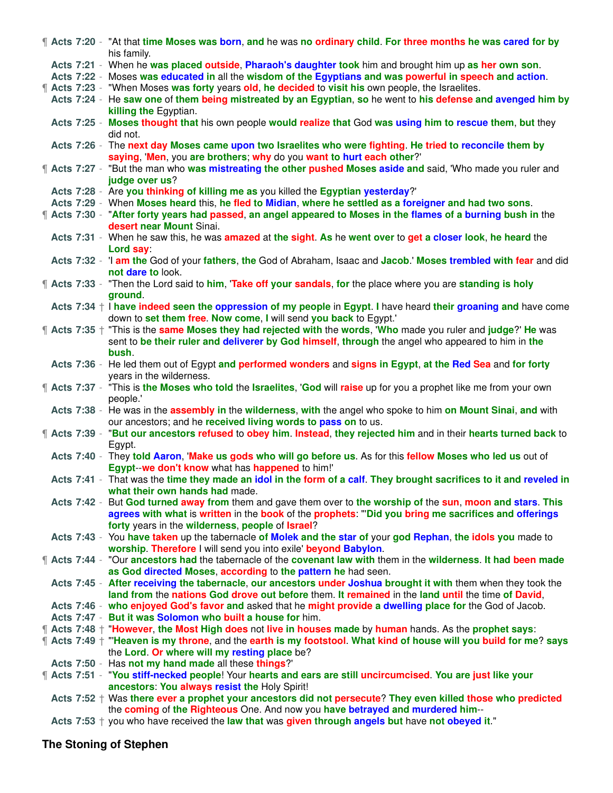|  | ¶ Acts 7:20 - "At that time Moses was born, and he was no ordinary child. For three months he was cared for by<br>his family.             |
|--|-------------------------------------------------------------------------------------------------------------------------------------------|
|  |                                                                                                                                           |
|  | Acts 7:21 - When he was placed outside, Pharaoh's daughter took him and brought him up as her own son.                                    |
|  | Acts 7:22 - Moses was educated in all the wisdom of the Egyptians and was powerful in speech and action.                                  |
|  | <b>[4] Acts 7:23 - "When Moses was forty years old, he decided to visit his own people, the Israelites.</b>                               |
|  | Acts 7:24 - He saw one of them being mistreated by an Egyptian, so he went to his defense and avenged him by                              |
|  | killing the Egyptian.                                                                                                                     |
|  | Acts 7:25 - Moses thought that his own people would realize that God was using him to rescue them, but they                               |
|  | did not.                                                                                                                                  |
|  | Acts 7:26 - The next day Moses came upon two Israelites who were fighting. He tried to reconcile them by                                  |
|  |                                                                                                                                           |
|  | saying, 'Men, you are brothers; why do you want to hurt each other?'                                                                      |
|  | Thereform Said 2:27 - "But the man who was mistreating the other pushed Moses aside and said, 'Who made you ruler and                     |
|  | judge over us?                                                                                                                            |
|  | Acts 7:28 - Are you thinking of killing me as you killed the Egyptian yesterday?'                                                         |
|  | Acts 7:29 - When Moses heard this, he fled to Midian, where he settled as a foreigner and had two sons.                                   |
|  | ¶ Acts 7:30 - "After forty years had passed, an angel appeared to Moses in the flames of a burning bush in the                            |
|  | desert near Mount Sinai.                                                                                                                  |
|  | Acts 7:31 - When he saw this, he was amazed at the sight. As he went over to get a closer look, he heard the                              |
|  |                                                                                                                                           |
|  | Lord say:                                                                                                                                 |
|  | Acts 7:32 - 'I am the God of your fathers, the God of Abraham, Isaac and Jacob.' Moses trembled with fear and did                         |
|  | not dare to look.                                                                                                                         |
|  | <b>f</b> Acts 7:33 - "Then the Lord said to him, 'Take off your sandals, for the place where you are standing is holy                     |
|  | ground.                                                                                                                                   |
|  | Acts 7:34 $+$ I have indeed seen the oppression of my people in Egypt. I have heard their groaning and have come                          |
|  | down to set them free. Now come, I will send you back to Egypt.'                                                                          |
|  | The Acts 7:35 <sup>+</sup> "This is the <b>same Moses they had rejected with the words, 'Who</b> made you ruler and <b>judge?' He</b> was |
|  | sent to be their ruler and deliverer by God himself, through the angel who appeared to him in the                                         |
|  |                                                                                                                                           |
|  | bush.                                                                                                                                     |
|  | Acts 7:36 - He led them out of Egypt and performed wonders and signs in Egypt, at the Red Sea and for forty                               |
|  | years in the wilderness.                                                                                                                  |
|  | Thereform Scots 7:37 - "This is the Moses who told the Israelites, 'God will raise up for you a prophet like me from your own             |
|  | people.'                                                                                                                                  |
|  | Acts 7:38 - He was in the assembly in the wilderness, with the angel who spoke to him on Mount Sinai, and with                            |
|  | our ancestors; and he received living words to pass on to us.                                                                             |
|  | The Acts 7:39 - "But our ancestors refused to obey him. Instead, they rejected him and in their hearts turned back to                     |
|  |                                                                                                                                           |
|  | Egypt.                                                                                                                                    |
|  | Acts 7:40 - They told Aaron, 'Make us gods who will go before us. As for this fellow Moses who led us out of                              |
|  | Egypt-we don't know what has happened to him!'                                                                                            |
|  | Acts 7:41 - That was the time they made an idol in the form of a calf. They brought sacrifices to it and reveled in                       |
|  | what their own hands had made.                                                                                                            |
|  | Acts 7:42 - But God turned away from them and gave them over to the worship of the sun, moon and stars. This                              |
|  | agrees with what is written in the book of the prophets: "Did you bring me sacrifices and offerings                                       |
|  | forty years in the wilderness, people of Israel?                                                                                          |
|  | Acts 7:43 - You have taken up the tabernacle of Molek and the star of your god Rephan, the idols you made to                              |
|  | worship. Therefore I will send you into exile' beyond Babylon.                                                                            |
|  |                                                                                                                                           |
|  | <b>If Acts 7:44 - "Our ancestors had the tabernacle of the covenant law with them in the wilderness. It had been made</b>                 |
|  | as God directed Moses, according to the pattern he had seen.                                                                              |
|  | Acts 7:45 - After receiving the tabernacle, our ancestors under Joshua brought it with them when they took the                            |
|  | land from the nations God drove out before them. It remained in the land until the time of David,                                         |
|  | Acts 7:46 - who enjoyed God's favor and asked that he might provide a dwelling place for the God of Jacob.                                |
|  | Acts 7:47 - But it was Solomon who built a house for him.                                                                                 |
|  | <b>f</b> Acts 7:48 <sup>+</sup> "However, the Most High does not live in houses made by human hands. As the prophet says:                 |
|  | ¶ Acts 7:49 † "Heaven is my throne, and the earth is my footstool. What kind of house will you build for me? says                         |
|  | the Lord. Or where will my resting place be?                                                                                              |
|  |                                                                                                                                           |
|  | Acts 7:50 - Has not my hand made all these things?'                                                                                       |
|  | <b>T</b> Acts 7:51 - "You stiff-necked people! Your hearts and ears are still uncircumcised. You are just like your                       |
|  | ancestors: You always resist the Holy Spirit!                                                                                             |
|  | Acts $7:52 +$ Was there ever a prophet your ancestors did not persecute? They even killed those who predicted                             |
|  | the coming of the Righteous One. And now you have betrayed and murdered him--                                                             |
|  | Acts 7:53 $+$ you who have received the law that was given through angels but have not obeyed it."                                        |

# **The Stoning of Stephen**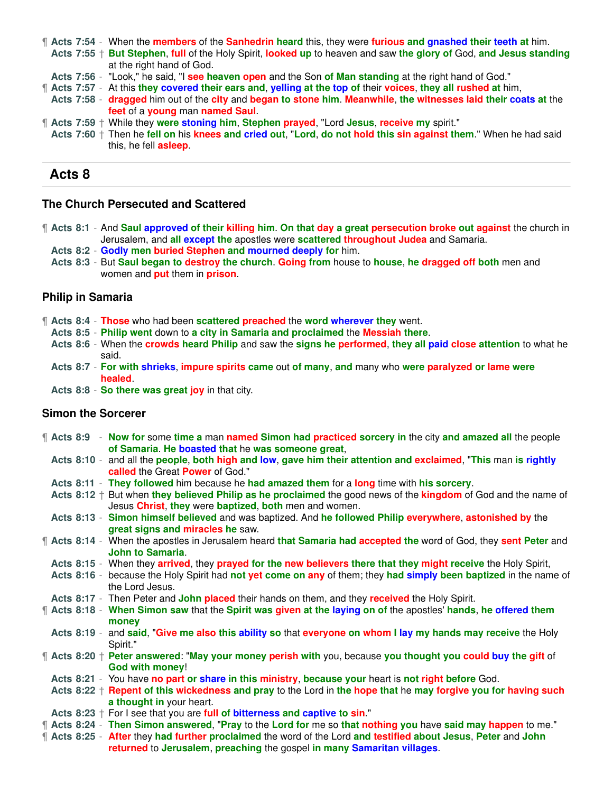¶ **Acts 7:54** - When the **members** of the **Sanhedrin heard** this, they were **furious and gnashed their teeth at** him.

**Acts 7:55** † **But Stephen**, **full** of the Holy Spirit, **looked up** to heaven and saw **the glory of** God, **and Jesus standing** at the right hand of God.

- **Acts 7:56** "Look," he said, "I **see heaven open** and the Son **of Man standing** at the right hand of God."
- ¶ **Acts 7:57** At this **they covered their ears and**, **yelling at the top of** their **voices**, **they all rushed at** him,
- **Acts 7:58 dragged** him out of the **city** and **began to stone him**. **Meanwhile**, **the witnesses laid their coats at** the **feet** of a **young** man **named Saul**.
- ¶ **Acts 7:59** † While they **were stoning him**, **Stephen prayed**, "Lord **Jesus**, **receive my** spirit."
- **Acts 7:60** † Then he **fell on** his **knees and cried out**, "**Lord**, **do not hold this sin against them**." When he had said this, he fell **asleep**.

### **Acts 8**

#### **The Church Persecuted and Scattered**

¶ **Acts 8:1** - And **Saul approved of their killing him**. **On that day a great persecution broke out against** the church in Jerusalem, and **all except the** apostles were **scattered throughout Judea** and Samaria.

**Acts 8:2** - **Godly men buried Stephen and mourned deeply for** him.

**Acts 8:3** - But **Saul began to destroy the church**. **Going from** house to **house**, **he dragged off both** men and women and **put** them in **prison**.

#### **Philip in Samaria**

- ¶ **Acts 8:4 Those** who had been **scattered preached** the **word wherever they** went.
	- **Acts 8:5 Philip went** down to **a city in Samaria and proclaimed** the **Messiah there**.
	- **Acts 8:6** When the **crowds heard Philip** and saw the **signs he performed**, **they all paid close attention** to what he said.
	- **Acts 8:7 For with shrieks**, **impure spirits came** out **of many**, **and** many who **were paralyzed or lame were healed**.
	- **Acts 8:8 So there was great joy** in that city.

#### **Simon the Sorcerer**

|  |  | <b>f</b> Acts 8:9 - Now for some time a man named Simon had practiced sorcery in the city and amazed all the people<br>of Samaria. He boasted that he was someone great,                  |
|--|--|-------------------------------------------------------------------------------------------------------------------------------------------------------------------------------------------|
|  |  | Acts 8:10 - and all the people, both high and low, gave him their attention and exclaimed, "This man is rightly<br>called the Great Power of God."                                        |
|  |  | Acts 8:11 - They followed him because he had amazed them for a long time with his sorcery.                                                                                                |
|  |  | Acts $8:12 + B$ ut when they believed Philip as he proclaimed the good news of the kingdom of God and the name of<br>Jesus Christ, they were baptized, both men and women.                |
|  |  | Acts 8:13 - Simon himself believed and was baptized. And he followed Philip everywhere, astonished by the<br>great signs and miracles he saw.                                             |
|  |  | T Acts 8:14 - When the apostles in Jerusalem heard that Samaria had accepted the word of God, they sent Peter and<br><b>John to Samaria.</b>                                              |
|  |  | Acts 8:15 - When they arrived, they prayed for the new believers there that they might receive the Holy Spirit,                                                                           |
|  |  | Acts 8:16 - because the Holy Spirit had not yet come on any of them; they had simply been baptized in the name of<br>the Lord Jesus.                                                      |
|  |  | Acts 8:17 - Then Peter and John placed their hands on them, and they received the Holy Spirit.                                                                                            |
|  |  | Therefore 8:18 - When Simon saw that the Spirit was given at the laying on of the apostles' hands, he offered them<br>money                                                               |
|  |  | Acts 8:19 - and said, "Give me also this ability so that everyone on whom I lay my hands may receive the Holy<br>Spirit."                                                                 |
|  |  | <b>f</b> Acts 8:20 <sup>+</sup> Peter answered: "May your money perish with you, because you thought you could buy the gift of<br><b>God with money!</b>                                  |
|  |  | Acts 8:21 - You have no part or share in this ministry, because your heart is not right before God.                                                                                       |
|  |  | Acts 8:22 $+$ Repent of this wickedness and pray to the Lord in the hope that he may forgive you for having such<br>a thought in your heart.                                              |
|  |  | Acts 8:23 $+$ For I see that you are full of bitterness and captive to sin."                                                                                                              |
|  |  | " Acts 8:24 - Then Simon answered, "Pray to the Lord for me so that nothing you have said may happen to me."                                                                              |
|  |  | 1 Acts 8:25 - After they had further proclaimed the word of the Lord and testified about Jesus, Peter and John<br>returned to Jerusalem, preaching the gospel in many Samaritan villages. |
|  |  |                                                                                                                                                                                           |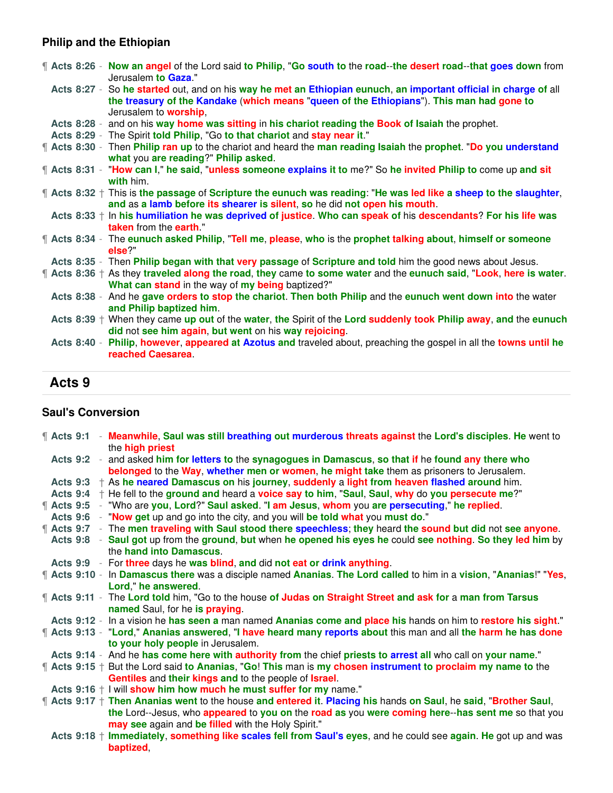# **Philip and the Ethiopian**

|  | Therefores 8:26 - Now an angel of the Lord said to Philip, "Go south to the road--the desert road--that goes down from<br>Jerusalem to Gaza."                                                                                                  |
|--|------------------------------------------------------------------------------------------------------------------------------------------------------------------------------------------------------------------------------------------------|
|  | Acts 8:27 - So he started out, and on his way he met an Ethiopian eunuch, an important official in charge of all<br>the treasury of the Kandake (which means "queen of the Ethiopians"). This man had gone to<br>Jerusalem to <b>worship</b> , |
|  | Acts 8:28 - and on his way home was sitting in his chariot reading the Book of Isaiah the prophet.                                                                                                                                             |
|  | Acts 8:29 - The Spirit told Philip, "Go to that chariot and stay near it."                                                                                                                                                                     |
|  | <b>f</b> Acts 8:30 - Then Philip ran up to the chariot and heard the man reading Isaiah the prophet. "Do you understand<br>what you are reading?" Philip asked.                                                                                |
|  | ¶ Acts 8:31 - "How can I," he said, "unless someone explains it to me?" So he invited Philip to come up and sit<br>with him.                                                                                                                   |
|  | ¶ Acts 8:32 † This is the passage of Scripture the eunuch was reading: "He was led like a sheep to the slaughter,<br>and as a lamb before its shearer is silent, so he did not open his mouth.                                                 |
|  | Acts 8:33 + In his humiliation he was deprived of justice. Who can speak of his descendants? For his life was<br><b>taken</b> from the <b>earth</b> ."                                                                                         |
|  | ¶ Acts 8:34 - The eunuch asked Philip, "Tell me, please, who is the prophet talking about, himself or someone<br>else?"                                                                                                                        |
|  | Acts 8:35 - Then Philip began with that very passage of Scripture and told him the good news about Jesus.                                                                                                                                      |
|  | ¶ Acts 8:36 † As they traveled along the road, they came to some water and the eunuch said, "Look, here is water.                                                                                                                              |
|  | What can stand in the way of my being baptized?"                                                                                                                                                                                               |
|  | Acts 8:38 - And he gave orders to stop the chariot. Then both Philip and the eunuch went down into the water<br>and Philip baptized him.                                                                                                       |
|  | Acts 8:39 + When they came up out of the water, the Spirit of the Lord suddenly took Philip away, and the eunuch                                                                                                                               |
|  | did not see him again, but went on his way rejoicing.                                                                                                                                                                                          |
|  | Acts 8:40 - Philip, however, appeared at Azotus and traveled about, preaching the gospel in all the towns until he<br>reached Caesarea                                                                                                         |

# **Acts 9**

# **Saul's Conversion**

|  |  | T Acts 9:1 - Meanwhile, Saul was still breathing out murderous threats against the Lord's disciples. He went to<br>the high priest |
|--|--|------------------------------------------------------------------------------------------------------------------------------------|
|  |  | Acts 9:2 - and asked him for letters to the synagogues in Damascus, so that if he found any there who                              |
|  |  | belonged to the Way, whether men or women, he might take them as prisoners to Jerusalem.                                           |
|  |  | Acts 9:3 $+$ As he neared Damascus on his journey, suddenly a light from heaven flashed around him.                                |
|  |  | Acts 9:4 $+$ He fell to the ground and heard a voice say to him, "Saul, Saul, why do you persecute me?"                            |
|  |  | ¶ Acts 9:5 - "Who are you, Lord?" Saul asked. "I am Jesus, whom you are persecuting," he replied.                                  |
|  |  | Acts 9:6 - "Now get up and go into the city, and you will be told what you must do."                                               |
|  |  | 1 Acts 9:7 - The men traveling with Saul stood there speechless; they heard the sound but did not see anyone.                      |
|  |  | Acts 9:8 - Saul got up from the ground, but when he opened his eyes he could see nothing. So they led him by                       |
|  |  | the hand into Damascus.                                                                                                            |
|  |  | Acts 9:9 - For three days he was blind, and did not eat or drink anything.                                                         |
|  |  | Acts 9:10 - In Damascus there was a disciple named Ananias. The Lord called to him in a vision, "Ananias!" "Yes,                   |
|  |  | Lord," he answered.                                                                                                                |
|  |  | <b>f</b> Acts 9:11 - The Lord told him, "Go to the house of Judas on Straight Street and ask for a man from Tarsus                 |
|  |  | named Saul, for he is praying.                                                                                                     |
|  |  | Acts 9:12 - In a vision he has seen a man named Ananias come and place his hands on him to restore his sight."                     |
|  |  | ¶ Acts 9:13 - "Lord," Ananias answered, "I have heard many reports about this man and all the harm he has done                     |
|  |  | to your holy people in Jerusalem.                                                                                                  |
|  |  | Acts 9:14 - And he has come here with authority from the chief priests to arrest all who call on your name."                       |
|  |  | <b>f</b> Acts 9:15 <sup>+</sup> But the Lord said to Ananias, "Go! This man is my chosen instrument to proclaim my name to the     |
|  |  | Gentiles and their kings and to the people of Israel.                                                                              |
|  |  | Acts $9:16 + 1$ will show him how much he must suffer for my name."                                                                |
|  |  | ¶ Acts 9:17 † Then Ananias went to the house and entered it. Placing his hands on Saul, he said, "Brother Saul,                    |
|  |  | the Lord--Jesus, who appeared to you on the road as you were coming here--has sent me so that you                                  |
|  |  | may see again and be filled with the Holy Spirit."                                                                                 |
|  |  | Acts 9:18 + Immediately, something like scales fell from Saul's eyes, and he could see again. He got up and was                    |
|  |  | baptized,                                                                                                                          |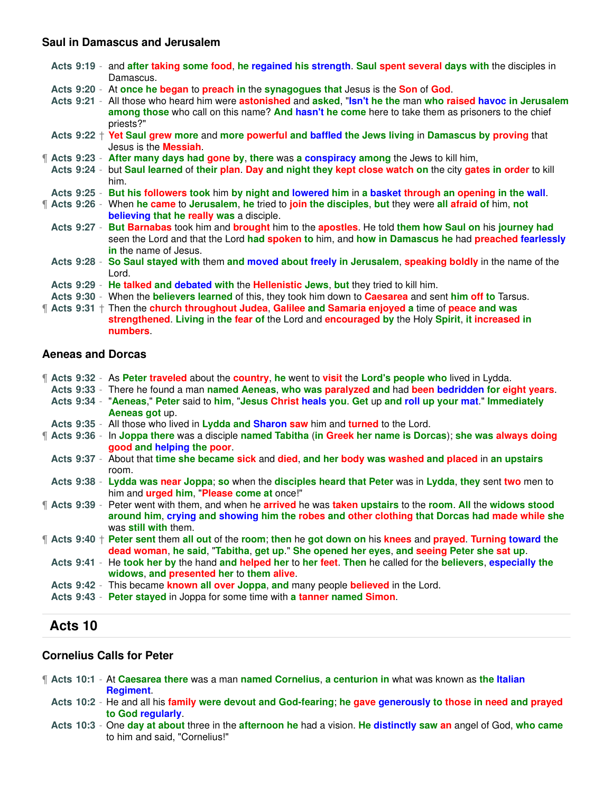#### **Saul in Damascus and Jerusalem**

|  | Acts 9:19 - and after taking some food, he regained his strength. Saul spent several days with the disciples in<br>Damascus.                                                                                                              |
|--|-------------------------------------------------------------------------------------------------------------------------------------------------------------------------------------------------------------------------------------------|
|  | Acts 9:20 - At once he began to preach in the synagogues that Jesus is the Son of God.                                                                                                                                                    |
|  | Acts 9:21 - All those who heard him were astonished and asked, "Isn't he the man who raised havoc in Jerusalem<br>among those who call on this name? And hasn't he come here to take them as prisoners to the chief<br>priests?"          |
|  | Acts 9:22 + Yet Saul grew more and more powerful and baffled the Jews living in Damascus by proving that<br>Jesus is the <b>Messiah</b> .                                                                                                 |
|  | <b>f</b> Acts 9:23 - After many days had gone by, there was a conspiracy among the Jews to kill him,                                                                                                                                      |
|  | Acts 9:24 - but Saul learned of their plan. Day and night they kept close watch on the city gates in order to kill<br>him.                                                                                                                |
|  | Acts 9:25 - But his followers took him by night and lowered him in a basket through an opening in the wall.                                                                                                                               |
|  | <b>f</b> Acts 9:26 - When he came to Jerusalem, he tried to join the disciples, but they were all afraid of him, not<br>believing that he really was a disciple.                                                                          |
|  | Acts 9:27 - But Barnabas took him and brought him to the apostles. He told them how Saul on his journey had<br>seen the Lord and that the Lord had spoken to him, and how in Damascus he had preached fearlessly<br>in the name of Jesus. |
|  | Acts 9:28 - So Saul stayed with them and moved about freely in Jerusalem, speaking boldly in the name of the<br>Lord.                                                                                                                     |
|  | Acts 9:29 - He talked and debated with the Hellenistic Jews, but they tried to kill him.                                                                                                                                                  |
|  | Acts 9:30 - When the <b>believers learned</b> of this, they took him down to <b>Caesarea</b> and sent him off to Tarsus.                                                                                                                  |
|  | <b>f</b> Acts 9:31 † Then the church throughout Judea, Galilee and Samaria enjoyed a time of peace and was                                                                                                                                |

**strengthened**. **Living** in **the fear of** the Lord and **encouraged by** the Holy **Spirit**, **it increased in numbers**.

### **Aeneas and Dorcas**

|  | <b>f</b> Acts 9:32 - As Peter traveled about the country, he went to visit the Lord's people who lived in Lydda.       |
|--|------------------------------------------------------------------------------------------------------------------------|
|  | Acts 9:33 - There he found a man named Aeneas, who was paralyzed and had been bedridden for eight years.               |
|  | Acts 9:34 - "Aeneas," Peter said to him, "Jesus Christ heals you. Get up and roll up your mat." Immediately            |
|  | Aeneas got up.                                                                                                         |
|  | Acts 9:35 - All those who lived in Lydda and Sharon saw him and turned to the Lord.                                    |
|  | There States 9:36 - In Joppa there was a disciple named Tabitha (in Greek her name is Dorcas); she was always doing    |
|  | good and helping the poor.                                                                                             |
|  | Acts 9:37 - About that time she became sick and died, and her body was washed and placed in an upstairs                |
|  | room.                                                                                                                  |
|  | Acts 9:38 - Lydda was near Joppa; so when the disciples heard that Peter was in Lydda, they sent two men to            |
|  | him and <b>urged him. "Please come at once!"</b>                                                                       |
|  | <b>f</b> Acts 9:39 - Peter went with them, and when he arrived he was taken upstairs to the room. All the widows stood |
|  | around him, crying and showing him the robes and other clothing that Dorcas had made while she                         |
|  | was still with them.                                                                                                   |
|  | <b>f</b> Acts 9:40 + Peter sent them all out of the room; then he got down on his knees and prayed. Turning toward the |
|  | dead woman, he said, "Tabitha, get up." She opened her eyes, and seeing Peter she sat up.                              |
|  | Acts 9:41 - He took her by the hand and helped her to her feet. Then he called for the believers, especially the       |
|  | widows, and presented her to them alive.                                                                               |
|  | Acts 9:42 - This became known all over Joppa, and many people believed in the Lord.                                    |
|  | Acts 9:43 - Peter stayed in Joppa for some time with a tanner named Simon.                                             |
|  |                                                                                                                        |
|  |                                                                                                                        |

# **Acts 10**

#### **Cornelius Calls for Peter**

- ¶ **Acts 10:1** At **Caesarea there** was a man **named Cornelius**, **a centurion in** what was known as **the Italian Regiment**.
	- **Acts 10:2** He and all his **family were devout and God-fearing**; **he gave generously to those in need and prayed to God regularly**.
	- **Acts 10:3** One **day at about** three in the **afternoon he** had a vision. **He distinctly saw an** angel of God, **who came** to him and said, "Cornelius!"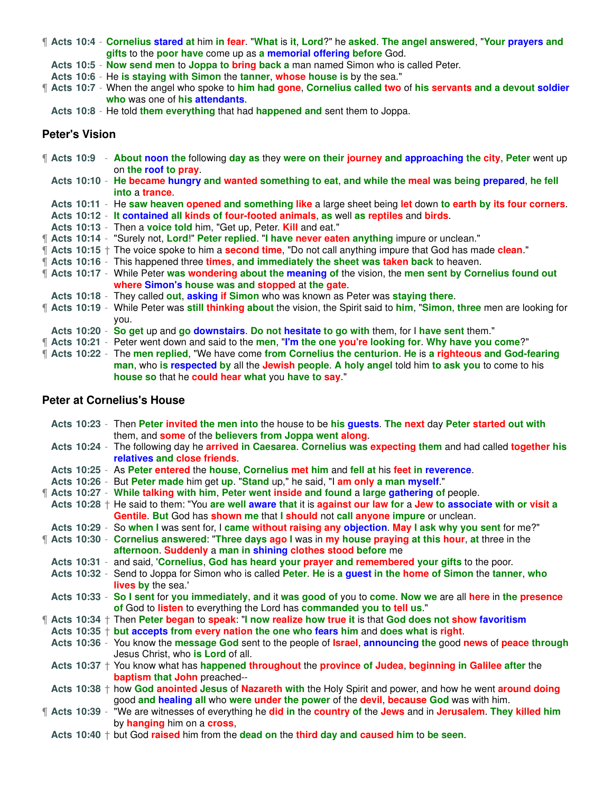¶ **Acts 10:4** - **Cornelius stared at** him **in fear**. "**What** is **it**, **Lord**?" he **asked**. **The angel answered**, "**Your prayers and gifts** to the **poor have** come up as **a memorial offering before** God.

**Acts 10:5** - **Now send men** to **Joppa to bring back a** man named Simon who is called Peter.

**Acts 10:6** - He **is staying with Simon** the **tanner**, **whose house is** by the sea."

¶ **Acts 10:7** - When the angel who spoke to **him had gone**, **Cornelius called two** of **his servants and a devout soldier who** was one of **his attendants**.

**Acts 10:8** - He told **them everything** that had **happened and** sent them to Joppa.

#### **Peter's Vision**

|  |  | <b>f</b> Acts 10:9 - About noon the following day as they were on their journey and approaching the city, Peter went up<br>on the roof to pray.                                                                                                                               |
|--|--|-------------------------------------------------------------------------------------------------------------------------------------------------------------------------------------------------------------------------------------------------------------------------------|
|  |  | Acts 10:10 - He became hungry and wanted something to eat, and while the meal was being prepared, he fell<br>into a trance                                                                                                                                                    |
|  |  | Acts 10:11 - He saw heaven opened and something like a large sheet being let down to earth by its four corners.                                                                                                                                                               |
|  |  | Acts 10:12 - It contained all kinds of four-footed animals, as well as reptiles and birds.                                                                                                                                                                                    |
|  |  | Acts 10:13 - Then a voice told him, "Get up, Peter. Kill and eat."                                                                                                                                                                                                            |
|  |  | " Acts 10:14 - "Surely not, Lord!" Peter replied. "I have never eaten anything impure or unclean."                                                                                                                                                                            |
|  |  | $\parallel$ Acts 10:15 $\pm$ The voice spoke to him a <b>second time</b> , "Do not call anything impure that God has made <b>clean</b> ."                                                                                                                                     |
|  |  | <b>f</b> Acts 10:16 - This happened three times, and immediately the sheet was taken back to heaven.                                                                                                                                                                          |
|  |  | <b>f</b> Acts 10:17 - While Peter was wondering about the meaning of the vision, the men sent by Cornelius found out<br>where Simon's house was and stopped at the gate.                                                                                                      |
|  |  | Acts 10:18 - They called out, asking if Simon who was known as Peter was staying there.                                                                                                                                                                                       |
|  |  | <b>f</b> Acts 10:19 - While Peter was still thinking about the vision, the Spirit said to him, "Simon, three men are looking for<br>you.                                                                                                                                      |
|  |  | Acts 10:20 - So get up and go downstairs. Do not hesitate to go with them, for I have sent them."                                                                                                                                                                             |
|  |  | " Acts 10:21 - Peter went down and said to the men, "I'm the one you're looking for. Why have you come?"                                                                                                                                                                      |
|  |  | <b>f</b> Acts 10:22 - The men replied, "We have come from Cornelius the centurion. He is a righteous and God-fearing<br>man, who is respected by all the Jewish people. A holy angel told him to ask you to come to his<br>house so that he could hear what you have to say." |

#### **Peter at Cornelius's House**

|  |  | Acts 10:23 - Then Peter invited the men into the house to be his guests. The next day Peter started out with              |
|--|--|---------------------------------------------------------------------------------------------------------------------------|
|  |  | them, and some of the believers from Joppa went along.                                                                    |
|  |  | Acts 10:24 - The following day he arrived in Caesarea. Cornelius was expecting them and had called together his           |
|  |  | relatives and close friends.                                                                                              |
|  |  | Acts 10:25 - As Peter entered the house, Cornelius met him and fell at his feet in reverence.                             |
|  |  | Acts 10:26 - But Peter made him get up. "Stand up," he said, "I am only a man myself."                                    |
|  |  | <b>f</b> Acts 10:27 - While talking with him, Peter went inside and found a large gathering of people.                    |
|  |  | Acts 10:28 + He said to them: "You are well aware that it is against our law for a Jew to associate with or visit a       |
|  |  | Gentile. But God has shown me that I should not call anyone impure or unclean.                                            |
|  |  | Acts 10:29 - So when I was sent for, I came without raising any objection. May I ask why you sent for me?"                |
|  |  | The Acts 10:30 - Cornelius answered: "Three days ago I was in my house praying at this hour, at three in the              |
|  |  | afternoon. Suddenly a man in shining clothes stood before me                                                              |
|  |  | Acts 10:31 - and said, 'Cornelius, God has heard your prayer and remembered your gifts to the poor.                       |
|  |  | Acts 10:32 - Send to Joppa for Simon who is called Peter. He is a guest in the home of Simon the tanner, who              |
|  |  | lives by the sea.'                                                                                                        |
|  |  | Acts 10:33 - So I sent for you immediately, and it was good of you to come. Now we are all here in the presence           |
|  |  | of God to listen to everything the Lord has commanded you to tell us."                                                    |
|  |  | $\parallel$ Acts 10:34 $\pm$ Then Peter began to speak: "I now realize how true it is that God does not show favoritism   |
|  |  | Acts $10:35 +$ but accepts from every nation the one who fears him and does what is right.                                |
|  |  | Acts 10:36 - You know the message God sent to the people of <b>Israel</b> , announcing the good news of peace through     |
|  |  | Jesus Christ, who is Lord of all.                                                                                         |
|  |  | Acts 10:37 $+$ You know what has happened throughout the province of Judea, beginning in Galilee after the                |
|  |  | baptism that John preached--                                                                                              |
|  |  | Acts 10:38 + how God anointed Jesus of Nazareth with the Holy Spirit and power, and how he went around doing              |
|  |  | good and healing all who were under the power of the devil, because God was with him.                                     |
|  |  | <b>f</b> Acts 10:39 - "We are witnesses of everything he did in the country of the Jews and in Jerusalem. They killed him |
|  |  | by <b>hanging</b> him on a <b>cross</b> ,                                                                                 |
|  |  | Acts $10:40 \dagger$ but God raised him from the dead on the third day and caused him to be seen.                         |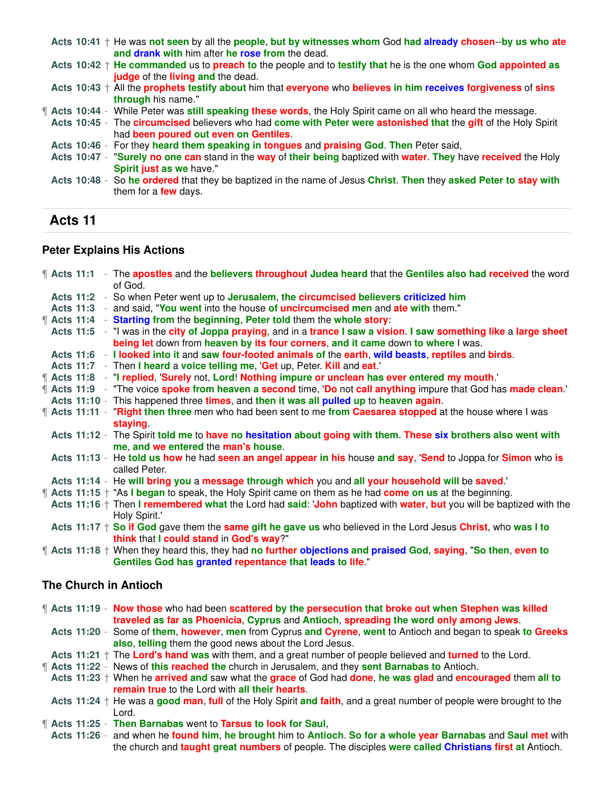**Acts 10:41** † He was **not seen** by all the **people**, **but by witnesses whom** God **had already chosen**--**by us who ate and drank with** him after **he rose from** the dead. **Acts 10:42** † **He commanded** us to **preach to** the people and to **testify that** he is the one whom **God appointed as judge** of the **living and** the dead. **Acts 10:43** † All the **prophets testify about** him that **everyone** who **believes in him receives forgiveness** of **sins through** his name." ¶ **Acts 10:44** - While Peter was **still speaking these words**, the Holy Spirit came on all who heard the message. **Acts 10:45** - The **circumcised** believers who had **come with Peter were astonished that** the **gift** of the Holy Spirit had **been poured out even on Gentiles**. **Acts 10:46** - For they **heard them speaking in tongues** and **praising God**. **Then** Peter said, **Acts 10:47** - "**Surely no one can** stand in the **way** of **their being** baptized with **water**. **They** have **received** the Holy **Spirit just as we** have." **Acts 10:48** - So **he ordered** that they be baptized in the name of Jesus **Christ**. **Then** they **asked Peter to stay with** them for a **few** days.

# **Acts 11**

#### **Peter Explains His Actions**

|  |  | The apostles and the believers throughout Judea heard that the Gentiles also had received the word<br>of God.                                                                        |
|--|--|--------------------------------------------------------------------------------------------------------------------------------------------------------------------------------------|
|  |  | Acts 11:2 - So when Peter went up to Jerusalem, the circumcised believers criticized him                                                                                             |
|  |  | Acts 11:3 - and said, "You went into the house of uncircumcised men and ate with them."                                                                                              |
|  |  | <b>f</b> Acts 11:4 - Starting from the beginning, Peter told them the whole story:                                                                                                   |
|  |  | Acts 11:5 - "I was in the city of Joppa praying, and in a trance I saw a vision. I saw something like a large sheet                                                                  |
|  |  | being let down from heaven by its four corners, and it came down to where I was.                                                                                                     |
|  |  | Acts 11:6 - I looked into it and saw four-footed animals of the earth, wild beasts, reptiles and birds.                                                                              |
|  |  | Acts 11:7 - Then I heard a voice telling me, 'Get up, Peter. Kill and eat.'                                                                                                          |
|  |  | Acts 11:8 - "I replied, 'Surely not, Lord! Nothing impure or unclean has ever entered my mouth.'                                                                                     |
|  |  | 1.9 - "The voice spoke from heaven a second time, 'Do not call anything impure that God has made clean.'                                                                             |
|  |  | Acts 11:10 - This happened three times, and then it was all pulled up to heaven again.                                                                                               |
|  |  | <b>f</b> Acts 11:11 - "Right then three men who had been sent to me from Caesarea stopped at the house where I was                                                                   |
|  |  | staying                                                                                                                                                                              |
|  |  | Acts 11:12 - The Spirit told me to have no hesitation about going with them. These six brothers also went with<br>me, and we entered the man's house.                                |
|  |  | Acts 11:13 - He told us how he had seen an angel appear in his house and say, 'Send to Joppa for Simon who is                                                                        |
|  |  | called Peter.                                                                                                                                                                        |
|  |  | Acts 11:14 - He will bring you a message through which you and all your household will be saved.                                                                                     |
|  |  | <b>f</b> Acts 11:15 + "As I began to speak, the Holy Spirit came on them as he had come on us at the beginning.                                                                      |
|  |  | Acts 11:16 $+$ Then I remembered what the Lord had said: 'John baptized with water, but you will be baptized with the<br>Holy Spirit.'                                               |
|  |  | Acts 11:17 $+$ So if God gave them the same gift he gave us who believed in the Lord Jesus Christ, who was I to                                                                      |
|  |  | think that I could stand in God's way?"                                                                                                                                              |
|  |  | $\parallel$ Acts 11:18 + When they heard this, they had no further objections and praised God, saying, "So then, even to<br>Gentiles God has granted repentance that leads to life." |
|  |  | <b>The Church in Antioch</b>                                                                                                                                                         |
|  |  |                                                                                                                                                                                      |

¶ **Acts 11:19** - **Now those** who had been **scattered by the persecution that broke out when Stephen was killed traveled as far as Phoenicia**, **Cyprus** and **Antioch**, **spreading the word only among Jews**.

**Acts 11:20** - Some of **them**, **however**, **men** from Cyprus **and Cyrene**, **went** to Antioch and began to speak **to Greeks also**, **telling** them the good news about the Lord Jesus.

- **Acts 11:21** † The **Lord's hand was** with them, and a great number of people believed and **turned** to the Lord.
- ¶ **Acts 11:22** News of **this reached the** church in Jerusalem, and they **sent Barnabas to** Antioch.

**Acts 11:23** † When he **arrived and** saw what the **grace** of God had **done**, **he was glad** and **encouraged** them **all to remain true** to the Lord with **all their hearts**.

**Acts 11:24** † He was a **good man**, **full** of the Holy Spirit **and faith**, and a great number of people were brought to the Lord.

¶ **Acts 11:25** - **Then Barnabas** went to **Tarsus to look for Saul**,

**Acts 11:26** - and when he **found him**, **he brought** him to **Antioch**. **So for a whole year Barnabas** and **Saul met** with the church and **taught great numbers** of people. The disciples **were called Christians first at** Antioch.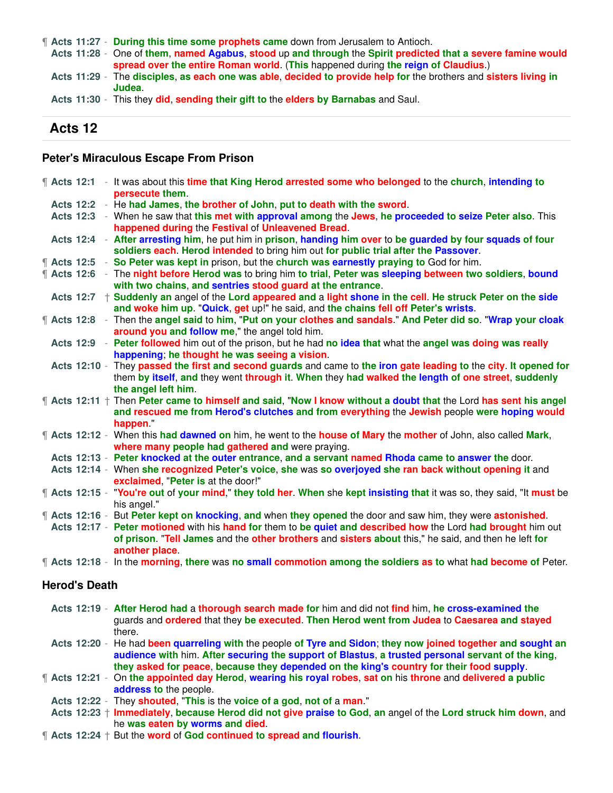¶ **Acts 11:27** - **During this time some prophets came** down from Jerusalem to Antioch.

**Acts 11:28** - One of **them**, **named Agabus**, **stood** up **and through** the **Spirit predicted that a severe famine would spread over the entire Roman world**. (**This** happened during **the reign of Claudius**.)

**Acts 11:29** - The **disciples**, **as each one was able**, **decided to provide help for** the brothers and **sisters living in Judea**.

**Acts 11:30** - This they **did**, **sending their gift to** the **elders by Barnabas** and Saul.

#### **Acts 12**

#### **Peter's Miraculous Escape From Prison**

|  |                      | <b>f</b> Acts 12:1 - It was about this time that King Herod arrested some who belonged to the church, intending to<br>persecute them. |
|--|----------------------|---------------------------------------------------------------------------------------------------------------------------------------|
|  |                      | Acts 12:2 - He had James, the brother of John, put to death with the sword.                                                           |
|  |                      | Acts 12:3 - When he saw that this met with approval among the Jews, he proceeded to seize Peter also. This                            |
|  |                      | happened during the Festival of Unleavened Bread.                                                                                     |
|  |                      | Acts 12:4 - After arresting him, he put him in prison, handing him over to be guarded by four squads of four                          |
|  |                      | soldiers each. Herod intended to bring him out for public trial after the Passover.                                                   |
|  |                      | <b>f</b> Acts 12:5 - So Peter was kept in prison, but the church was earnestly praying to God for him.                                |
|  |                      | ¶ Acts 12:6 - The night before Herod was to bring him to trial, Peter was sleeping between two soldiers, bound                        |
|  |                      | with two chains, and sentries stood guard at the entrance.                                                                            |
|  |                      | Acts 12:7 + Suddenly an angel of the Lord appeared and a light shone in the cell. He struck Peter on the side                         |
|  |                      | and woke him up. "Quick, get up!" he said, and the chains fell off Peter's wrists.                                                    |
|  |                      | ¶ Acts 12:8 - Then the angel said to him, "Put on your clothes and sandals." And Peter did so. "Wrap your cloak                       |
|  |                      | around you and follow me," the angel told him.                                                                                        |
|  |                      | Acts 12:9 - Peter followed him out of the prison, but he had no idea that what the angel was doing was really                         |
|  |                      | happening; he thought he was seeing a vision.                                                                                         |
|  |                      | Acts 12:10 - They passed the first and second guards and came to the iron gate leading to the city. It opened for                     |
|  |                      | them by itself, and they went through it. When they had walked the length of one street, suddenly                                     |
|  |                      | the angel left him.                                                                                                                   |
|  |                      | $\parallel$ Acts 12:11 $\pm$ Then Peter came to himself and said, "Now I know without a doubt that the Lord has sent his angel        |
|  |                      | and rescued me from Herod's clutches and from everything the Jewish people were hoping would                                          |
|  |                      | happen."                                                                                                                              |
|  |                      | ¶ Acts 12:12 - When this had dawned on him, he went to the house of Mary the mother of John, also called Mark,                        |
|  |                      | where many people had gathered and were praying.                                                                                      |
|  |                      | Acts 12:13 - Peter knocked at the outer entrance, and a servant named Rhoda came to answer the door.                                  |
|  |                      | Acts 12:14 - When she recognized Peter's voice, she was so overjoyed she ran back without opening it and                              |
|  |                      | exclaimed, "Peter is at the door!"                                                                                                    |
|  |                      | <b>f</b> Acts 12:15 - "You're out of your mind," they told her. When she kept insisting that it was so, they said, "It must be        |
|  |                      | his angel."                                                                                                                           |
|  |                      | <b>f</b> Acts 12:16 - But Peter kept on knocking, and when they opened the door and saw him, they were astonished.                    |
|  |                      | Acts 12:17 - Peter motioned with his hand for them to be quiet and described how the Lord had brought him out                         |
|  |                      | of prison. "Tell James and the other brothers and sisters about this," he said, and then he left for<br>another place.                |
|  |                      | ¶ Acts 12:18 - In the morning, there was no small commotion among the soldiers as to what had become of Peter.                        |
|  |                      |                                                                                                                                       |
|  | <b>Herod's Death</b> |                                                                                                                                       |
|  |                      | Acts 12:19 - After Herod had a thorough search made for him and did not find him, he cross-examined the                               |
|  |                      | guards and ordered that they be executed. Then Herod went from Judea to Caesarea and stayed                                           |

**Acts 12:20** - He had **been quarreling with** the people **of Tyre and Sidon**; **they now joined together and sought an audience with** him. **After securing the support of Blastus**, **a trusted personal servant of the king**, **they asked for peace**, **because they depended on the king's country for their food supply**.

- ¶ **Acts 12:21** On **the appointed day Herod**, **wearing his royal robes**, **sat on** his **throne** and **delivered a public address to** the people.
- **Acts 12:22** They **shouted**, "**This** is the **voice of a god**, **not of** a **man**."

there.

**Acts 12:23** † **Immediately**, **because Herod did not give praise to God**, **an** angel of the **Lord struck him down**, and he **was eaten by worms and died**.

¶ **Acts 12:24** † But the **word** of **God continued to spread and flourish**.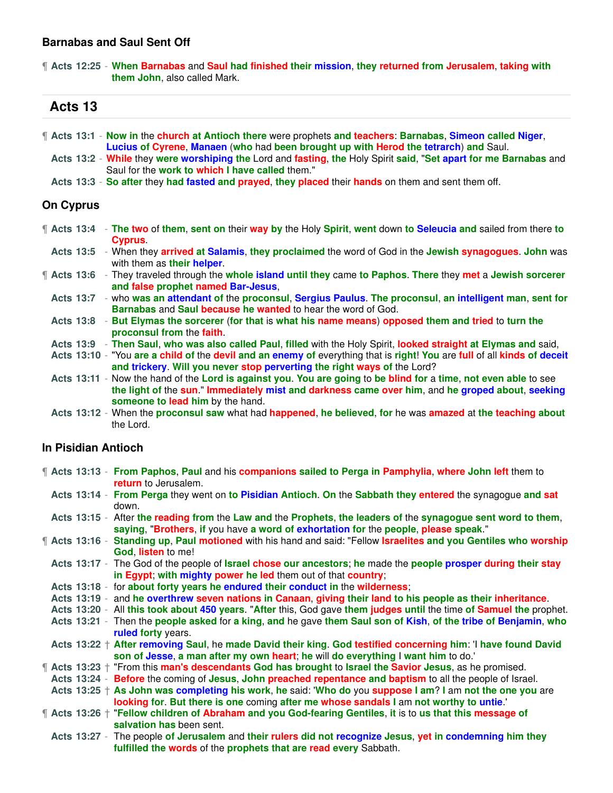#### **Barnabas and Saul Sent Off**

¶ **Acts 12:25** - **When Barnabas** and **Saul had finished their mission**, **they returned from Jerusalem**, **taking with them John**, also called Mark.

# **Acts 13**

|                  | <b>f</b> Acts 13:1 - Now in the church at Antioch there were prophets and teachers: Barnabas, Simeon called Niger, |
|------------------|--------------------------------------------------------------------------------------------------------------------|
|                  | Lucius of Cyrene, Manaen (who had been brought up with Herod the tetrarch) and Saul.                               |
|                  | Acts 13:2 - While they were worshiping the Lord and fasting, the Holy Spirit said, "Set apart for me Barnabas and  |
|                  | Saul for the work to which I have called them."                                                                    |
|                  | Acts 13:3 - So after they had fasted and prayed, they placed their hands on them and sent them off.                |
| <b>On Cyprus</b> |                                                                                                                    |

- ¶ **Acts 13:4 The two** of **them**, **sent on** their **way by** the Holy **Spirit**, **went** down **to Seleucia and** sailed from there **to Cyprus**.
- **Acts 13:5** When they **arrived at Salamis**, **they proclaimed** the word of God in the **Jewish synagogues**. **John** was with them as **their helper**.
- ¶ **Acts 13:6** They traveled through the **whole island until they** came **to Paphos**. **There** they **met** a **Jewish sorcerer and false prophet named Bar-Jesus**,
	- **Acts 13:7** who **was an attendant of** the **proconsul**, **Sergius Paulus**. **The proconsul**, **an intelligent man**, **sent for Barnabas** and **Saul because he wanted** to hear the word of God.
	- **Acts 13:8 But Elymas the sorcerer** (**for that** is **what his name means**) **opposed them and tried** to **turn the proconsul from** the **faith**.
	- **Acts 13:9 Then Saul**, **who was also called Paul**, **filled** with the Holy Spirit, **looked straight at Elymas and** said,
	- **Acts 13:10** "You **are a child of** the **devil and an enemy of** everything that is **right**! **You** are **full** of all **kinds of deceit and trickery**. **Will you never stop perverting the right ways of** the Lord?
	- **Acts 13:11** Now the hand of the **Lord is against you**. **You are going** to **be blind for** a **time**, **not even able** to see **the light of** the **sun**." **Immediately mist and darkness came over him**, and **he groped about**, **seeking someone to lead him** by the hand.
	- **Acts 13:12** When the **proconsul saw** what had **happened**, **he believed**, **for** he was **amazed** at **the teaching about** the Lord.

# **In Pisidian Antioch**

- ¶ **Acts 13:13 From Paphos**, **Paul** and his **companions sailed to Perga in Pamphylia**, **where John left** them to **return** to Jerusalem.
	- **Acts 13:14 From Perga** they went on **to Pisidian Antioch**. **On** the **Sabbath they entered** the synagogue **and sat** down.
- **Acts 13:15** After **the reading from** the **Law and** the **Prophets**, **the leaders of** the **synagogue sent word to them**, **saying**, "**Brothers**, **if** you have **a word of exhortation for** the **people**, **please speak**."
- ¶ **Acts 13:16 Standing up**, **Paul motioned** with his hand and said: "Fellow **Israelites and you Gentiles who worship God**, **listen** to me!
- **Acts 13:17** The God of the people of **Israel chose our ancestors**; **he** made the **people prosper during their stay in Egypt**; **with mighty power he led** them out of that **country**;
- **Acts 13:18** for **about forty years he endured their conduct in** the **wilderness**;
- **Acts 13:19** and **he overthrew seven nations in Canaan**, **giving their land to his people as their inheritance**.
- **Acts 13:20** All **this took about 450 years**. "**After** this, God gave **them judges until** the time **of Samuel the** prophet.
- **Acts 13:21** Then the **people asked** for **a king**, **and** he gave **them Saul son of Kish**, **of the tribe of Benjamin**, **who ruled forty** years.
- **Acts 13:22** † **After removing Saul**, he **made David their king**. **God testified concerning him**: 'I **have found David son of Jesse**, **a man after my own heart**; **he** will **do everything** I **want him** to do.'
- ¶ **Acts 13:23** † "From this **man's descendants God has brought** to **Israel the Savior Jesus**, as he promised.
- **Acts 13:24 Before** the coming of **Jesus**, **John preached repentance and baptism** to all the people of Israel.
- **Acts 13:25** † **As John was completing his work**, **he** said: '**Who do** you **suppose I am**? **I** am **not the one you** are **looking for**. **But there is one** coming **after me whose sandals I** am **not worthy to untie**.'
- ¶ **Acts 13:26** † "**Fellow children of Abraham and you God-fearing Gentiles**, **it** is to **us that this message of salvation has** been sent.
	- **Acts 13:27** The people **of Jerusalem** and **their rulers did not recognize Jesus**, **yet in condemning him they fulfilled the words** of the **prophets that are read every** Sabbath.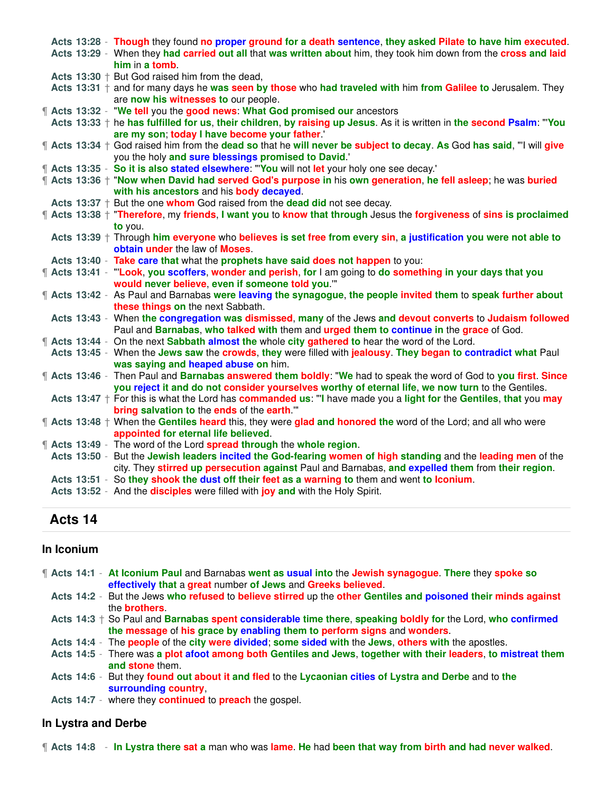|  |  | Acts 13:28 - Though they found no proper ground for a death sentence, they asked Pilate to have him executed.<br>Acts 13:29 - When they had carried out all that was written about him, they took him down from the cross and laid |
|--|--|------------------------------------------------------------------------------------------------------------------------------------------------------------------------------------------------------------------------------------|
|  |  | him in a tomb.                                                                                                                                                                                                                     |
|  |  | Acts 13:30 $+$ But God raised him from the dead,                                                                                                                                                                                   |
|  |  | Acts 13:31 $+$ and for many days he was seen by those who had traveled with him from Galilee to Jerusalem. They                                                                                                                    |
|  |  | are now his witnesses to our people.                                                                                                                                                                                               |
|  |  | Acts 13:32 - "We tell you the good news: What God promised our ancestors                                                                                                                                                           |
|  |  | Acts 13:33 + he has fulfilled for us, their children, by raising up Jesus. As it is written in the second Psalm: "You<br>are my son; today I have become your father.'                                                             |
|  |  | ¶ Acts 13:34 † God raised him from the dead so that he will never be subject to decay. As God has said, "I will give                                                                                                               |
|  |  | you the holy and sure blessings promised to David.'                                                                                                                                                                                |
|  |  | "  Acts 13:35 - So it is also stated elsewhere: "You will not let your holy one see decay."                                                                                                                                        |
|  |  | ¶ Acts 13:36 † "Now when David had served God's purpose in his own generation, he fell asleep; he was buried<br>with his ancestors and his body decayed.                                                                           |
|  |  | Acts $13:37 +$ But the one whom God raised from the dead did not see decay.                                                                                                                                                        |
|  |  | ¶ Acts 13:38 † "Therefore, my friends, I want you to know that through Jesus the forgiveness of sins is proclaimed                                                                                                                 |
|  |  | to you.                                                                                                                                                                                                                            |
|  |  | Acts 13:39 + Through him everyone who believes is set free from every sin, a justification you were not able to                                                                                                                    |
|  |  | obtain under the law of Moses.                                                                                                                                                                                                     |
|  |  | Acts 13:40 - Take care that what the prophets have said does not happen to you:                                                                                                                                                    |
|  |  | The Acts 13:41 - "Look, you scoffers, wonder and perish, for I am going to do something in your days that you                                                                                                                      |
|  |  | would never believe, even if someone told you."                                                                                                                                                                                    |
|  |  | The Acts 13:42 - As Paul and Barnabas were leaving the synagogue, the people invited them to speak further about                                                                                                                   |
|  |  | these things on the next Sabbath.                                                                                                                                                                                                  |
|  |  | Acts 13:43 - When the congregation was dismissed, many of the Jews and devout converts to Judaism followed                                                                                                                         |
|  |  | Paul and Barnabas, who talked with them and urged them to continue in the grace of God.                                                                                                                                            |
|  |  | <b>f</b> Acts 13:44 - On the next Sabbath almost the whole city gathered to hear the word of the Lord.                                                                                                                             |
|  |  | Acts 13:45 - When the Jews saw the crowds, they were filled with jealousy. They began to contradict what Paul                                                                                                                      |
|  |  | was saying and heaped abuse on him.                                                                                                                                                                                                |
|  |  | <b>f</b> Acts 13:46 - Then Paul and Barnabas answered them boldly: "We had to speak the word of God to you first. Since                                                                                                            |
|  |  | you reject it and do not consider yourselves worthy of eternal life, we now turn to the Gentiles.                                                                                                                                  |
|  |  | Acts 13:47 $+$ For this is what the Lord has commanded us: "I have made you a light for the Gentiles, that you may                                                                                                                 |
|  |  | bring salvation to the ends of the earth."                                                                                                                                                                                         |
|  |  | $\parallel$ Acts 13:48 $\pm$ When the Gentiles heard this, they were glad and honored the word of the Lord; and all who were                                                                                                       |
|  |  | appointed for eternal life believed.                                                                                                                                                                                               |
|  |  | <b>1</b> Acts 13:49 - The word of the Lord spread through the whole region.                                                                                                                                                        |
|  |  | Acts 13:50 - But the Jewish leaders incited the God-fearing women of high standing and the leading men of the                                                                                                                      |
|  |  | city. They stirred up persecution against Paul and Barnabas, and expelled them from their region.                                                                                                                                  |
|  |  | Acts 13:51 - So they shook the dust off their feet as a warning to them and went to lconium.                                                                                                                                       |
|  |  | Acts 13:52 - And the <b>disciples</b> were filled with joy and with the Holy Spirit.                                                                                                                                               |

### **Acts 14**

#### **In Iconium**

| Therm 2.14:1 - At Iconium Paul and Barnabas went as usual into the Jewish synagogue. There they spoke so |
|----------------------------------------------------------------------------------------------------------|
| effectively that a great number of Jews and Greeks believed.                                             |

- **Acts 14:2** But the Jews **who refused** to **believe stirred** up the **other Gentiles and poisoned their minds against** the **brothers**.
- **Acts 14:3** † So Paul and **Barnabas spent considerable time there**, **speaking boldly for** the Lord, **who confirmed the message** of **his grace by enabling them to perform signs** and **wonders**.
- **Acts 14:4** The **people** of the **city were divided**; **some sided with** the **Jews**, **others with** the apostles.

**Acts 14:5** - There was **a plot afoot among both Gentiles and Jews**, **together with their leaders**, **to mistreat them and stone** them.

**Acts 14:6** - But they **found out about it and fled** to the **Lycaonian cities of Lystra and Derbe** and to **the surrounding country**,

**Acts 14:7** - where they **continued** to **preach** the gospel.

#### **In Lystra and Derbe**

¶ **Acts 14:8** - **In Lystra there sat a** man who was **lame**. **He** had **been that way from birth and had never walked**.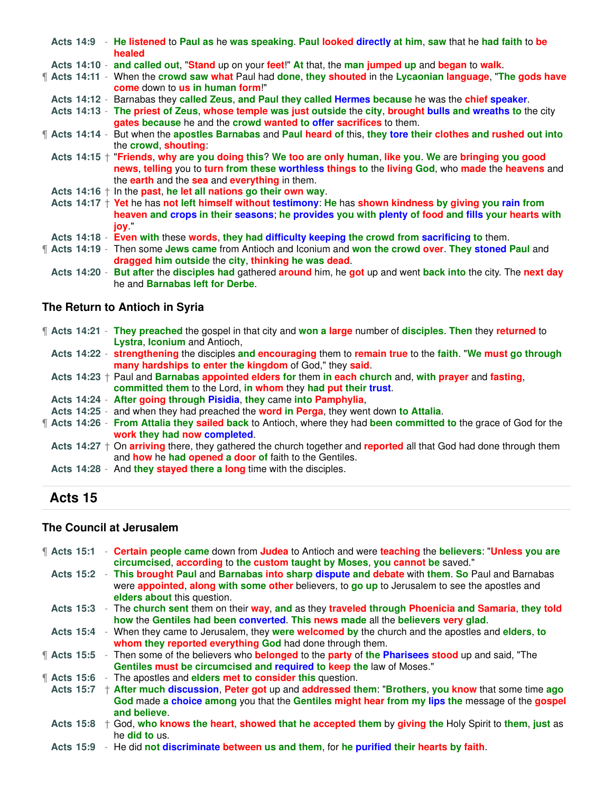|  | Acts 14:9 - He listened to Paul as he was speaking. Paul looked directly at him, saw that he had faith to be<br>healed                                                                                                                                           |  |
|--|------------------------------------------------------------------------------------------------------------------------------------------------------------------------------------------------------------------------------------------------------------------|--|
|  | Acts 14:10 - and called out, "Stand up on your feet!" At that, the man jumped up and began to walk.                                                                                                                                                              |  |
|  | <b>f</b> Acts 14:11 - When the crowd saw what Paul had done, they shouted in the Lycaonian language, "The gods have<br><b>come</b> down to <b>us</b> in human form!"                                                                                             |  |
|  | Acts 14:12 - Barnabas they called Zeus, and Paul they called Hermes because he was the chief speaker.                                                                                                                                                            |  |
|  | Acts 14:13 - The priest of Zeus, whose temple was just outside the city, brought bulls and wreaths to the city<br>gates because he and the crowd wanted to offer sacrifices to them.                                                                             |  |
|  | <b>f</b> Acts 14:14 - But when the apostles Barnabas and Paul heard of this, they tore their clothes and rushed out into<br>the crowd, shouting:                                                                                                                 |  |
|  | Acts 14:15 $+$ "Friends, why are you doing this? We too are only human, like you. We are bringing you good<br>news, telling you to turn from these worthless things to the living God, who made the heavens and<br>the earth and the sea and everything in them. |  |
|  | Acts $14:16 + \ln \ln \text{past}$ , he let all nations go their own way.                                                                                                                                                                                        |  |
|  | Acts $14:17 +$ Yet he has not left himself without testimony: He has shown kindness by giving you rain from<br>heaven and crops in their seasons; he provides you with plenty of food and fills your hearts with<br>iov "                                        |  |
|  | Acts 14:18 - Even with these words, they had difficulty keeping the crowd from sacrificing to them.                                                                                                                                                              |  |
|  | <b>f</b> Acts 14:19 - Then some Jews came from Antioch and Iconium and won the crowd over. They stoned Paul and<br>dragged him outside the city, thinking he was dead.                                                                                           |  |
|  | Acts 14:20 - But after the disciples had gathered around him, he got up and went back into the city. The next day<br>he and <b>Barnabas left for Derbe.</b>                                                                                                      |  |

# **The Return to Antioch in Syria**

|  | <b>f</b> Acts 14:21 - They preached the gospel in that city and won a large number of disciples. Then they returned to                                                                          |
|--|-------------------------------------------------------------------------------------------------------------------------------------------------------------------------------------------------|
|  | Lystra, Iconium and Antioch,                                                                                                                                                                    |
|  | Acts 14:22 - strengthening the disciples and encouraging them to remain true to the faith. "We must go through                                                                                  |
|  | many hardships to enter the kingdom of God," they said.                                                                                                                                         |
|  | Acts $14:23 +$ Paul and Barnabas appointed elders for them in each church and, with prayer and fasting,                                                                                         |
|  | committed them to the Lord, in whom they had put their trust.                                                                                                                                   |
|  | Acts 14:24 - After going through Pisidia, they came into Pamphylia,                                                                                                                             |
|  | Acts 14:25 - and when they had preached the word in Perga, they went down to Attalia.                                                                                                           |
|  | Therefore the Matism of the year of God for the grade of God for the Safabrah Atlas 14:26 - From Attalia they sailed back to Antioch, where they had been committed to the grace of God for the |
|  | work they had now completed.                                                                                                                                                                    |
|  | Acts $14:27 \dagger$ On arriving there, they gathered the church together and reported all that God had done through them                                                                       |
|  | and how he had opened a door of faith to the Gentiles.                                                                                                                                          |
|  | Acts 14:28 - And they stayed there a long time with the disciples.                                                                                                                              |
|  |                                                                                                                                                                                                 |

# **Acts 15**

### **The Council at Jerusalem**

| <b>f</b> Acts 15:1    | - Certain people came down from Judea to Antioch and were teaching the believers: "Unless you are                                                                                                                                         |
|-----------------------|-------------------------------------------------------------------------------------------------------------------------------------------------------------------------------------------------------------------------------------------|
|                       | circumcised, according to the custom taught by Moses, you cannot be saved."                                                                                                                                                               |
|                       | Acts 15:2 - This brought Paul and Barnabas into sharp dispute and debate with them. So Paul and Barnabas<br>were appointed, along with some other believers, to go up to Jerusalem to see the apostles and<br>elders about this question. |
|                       | Acts 15:3 - The church sent them on their way, and as they traveled through Phoenicia and Samaria, they told                                                                                                                              |
|                       | how the Gentiles had been converted. This news made all the believers very glad.                                                                                                                                                          |
|                       | Acts 15:4 - When they came to Jerusalem, they were welcomed by the church and the apostles and elders, to<br>whom they reported everything God had done through them.                                                                     |
| <b>f</b> Acts 15:5    | Then some of the believers who <b>belonged</b> to the <b>party</b> of the Pharisees stood up and said, "The<br>$\sim$                                                                                                                     |
|                       | Gentiles must be circumcised and required to keep the law of Moses."                                                                                                                                                                      |
| $\parallel$ Acts 15:6 | - The apostles and elders met to consider this question.                                                                                                                                                                                  |
| <b>Acts 15:7</b>      | $+$ After much discussion, Peter got up and addressed them: "Brothers, you know that some time ago                                                                                                                                        |
|                       | God made a choice among you that the Gentiles might hear from my lips the message of the gospel<br>and believe.                                                                                                                           |
|                       | Acts 15:8 $+$ God, who knows the heart, showed that he accepted them by giving the Holy Spirit to them, just as<br>he <b>did to</b> us.                                                                                                   |
|                       | Acts 15:9 - He did not discriminate between us and them, for he purified their hearts by faith.                                                                                                                                           |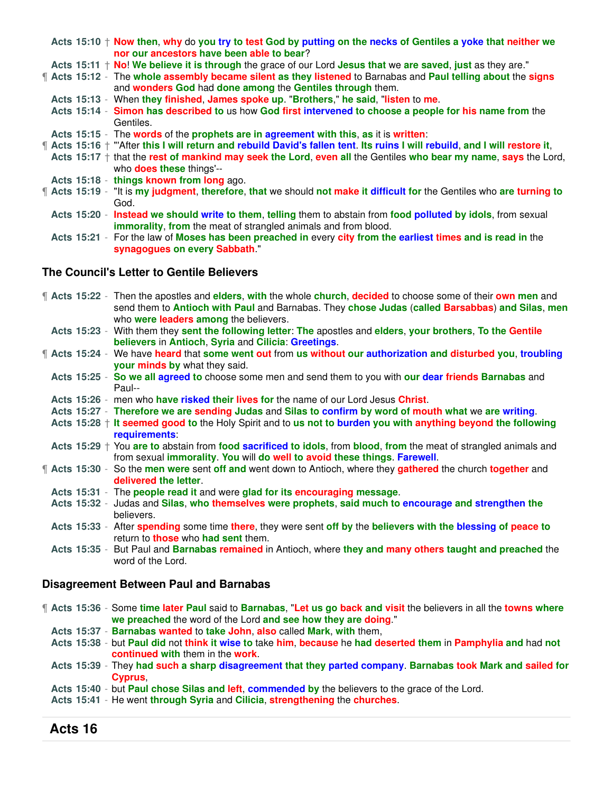Acts 15:10  $+$  Now then, why do you try to test God by putting on the necks of Gentiles a yoke that neither we **nor our ancestors have been able to bear**? **Acts 15:11** † **No**! **We believe it is through** the grace of our Lord **Jesus that** we **are saved**, **just** as they are." ¶ **Acts 15:12** - The **whole assembly became silent as they listened** to Barnabas and **Paul telling about** the **signs** and **wonders God** had **done among** the **Gentiles through** them. **Acts 15:13** - When **they finished**, **James spoke up**. "**Brothers**," **he said**, "**listen** to **me**. **Acts 15:14** - **Simon has described to** us how **God first intervened to choose a people for his name from** the Gentiles. **Acts 15:15** - The **words** of the **prophets are in agreement with this**, **as** it is **written**: ¶ **Acts 15:16** † "'After **this I will return and rebuild David's fallen tent**. **Its ruins I will rebuild**, **and I will restore it**, **Acts 15:17** † that the **rest of mankind may seek the Lord**, **even all** the Gentiles **who bear my name**, **says** the Lord, who **does these** things'-- **Acts 15:18** - **things known from long** ago. ¶ **Acts 15:19** - "It is **my judgment**, **therefore**, **that** we should **not make it difficult for** the Gentiles who **are turning to** God. **Acts 15:20** - **Instead we should write to them**, **telling** them to abstain from **food polluted by idols**, from sexual **immorality**, **from** the meat of strangled animals and from blood. **Acts 15:21** - For the law of **Moses has been preached in** every **city from the earliest times and is read in** the **synagogues on every Sabbath**."

#### **The Council's Letter to Gentile Believers**

¶ **Acts 15:22** - Then the apostles and **elders**, **with** the whole **church**, **decided** to choose some of their **own men** and send them to **Antioch with Paul** and Barnabas. They **chose Judas** (**called Barsabbas**) **and Silas**, **men** who **were leaders among** the believers. **Acts 15:23** - With them they **sent the following letter**: **The** apostles and **elders**, **your brothers**, **To the Gentile believers** in **Antioch**, **Syria** and **Cilicia**: **Greetings**. ¶ **Acts 15:24** - We have **heard** that **some went out** from **us without our authorization and disturbed you**, **troubling your minds by** what they said. **Acts 15:25** - **So we all agreed to** choose some men and send them to you with **our dear friends Barnabas** and Paul-- **Acts 15:26** - men who **have risked their lives for** the name of our Lord Jesus **Christ**. **Acts 15:27** - **Therefore we are sending Judas** and **Silas to confirm by word of mouth what** we **are writing**. **Acts 15:28** † **It seemed good to** the Holy Spirit and to **us not to burden you with anything beyond the following requirements**: **Acts 15:29** † You **are to** abstain from **food sacrificed to idols**, from **blood**, **from** the meat of strangled animals and from sexual **immorality**. **You** will **do well to avoid these things**. **Farewell**. ¶ **Acts 15:30** - So the **men were** sent **off and** went down to Antioch, where they **gathered** the church **together** and **delivered the letter**. **Acts 15:31** - The **people read it** and were **glad for its encouraging message**. **Acts 15:32** - Judas and **Silas**, **who themselves were prophets**, **said much to encourage and strengthen the** believers. **Acts 15:33** - After **spending** some time **there**, they were sent **off by** the **believers with the blessing of peace to** return to **those** who **had sent** them. **Acts 15:35** - But Paul and **Barnabas remained** in Antioch, where **they and many others taught and preached** the word of the Lord. **Disagreement Between Paul and Barnabas** ¶ **Acts 15:36** - Some **time later Paul** said to **Barnabas**, "**Let us go back and visit** the believers in all the **towns where we preached** the word of the Lord **and see how they are doing**." **Acts 15:37** - **Barnabas wanted** to **take John**, **also** called **Mark**, **with** them, **Acts 15:38** - but **Paul did** not **think it wise to** take **him**, **because** he **had deserted them** in **Pamphylia and** had **not**

**continued with** them in the **work**. **Acts 15:39** - They **had such a sharp disagreement that they parted company**. **Barnabas took Mark and sailed for**

**Cyprus**, **Acts 15:40** - but **Paul chose Silas and left**, **commended by** the believers to the grace of the Lord.

**Acts 15:41** - He went **through Syria** and **Cilicia**, **strengthening** the **churches**.

#### **Acts 16**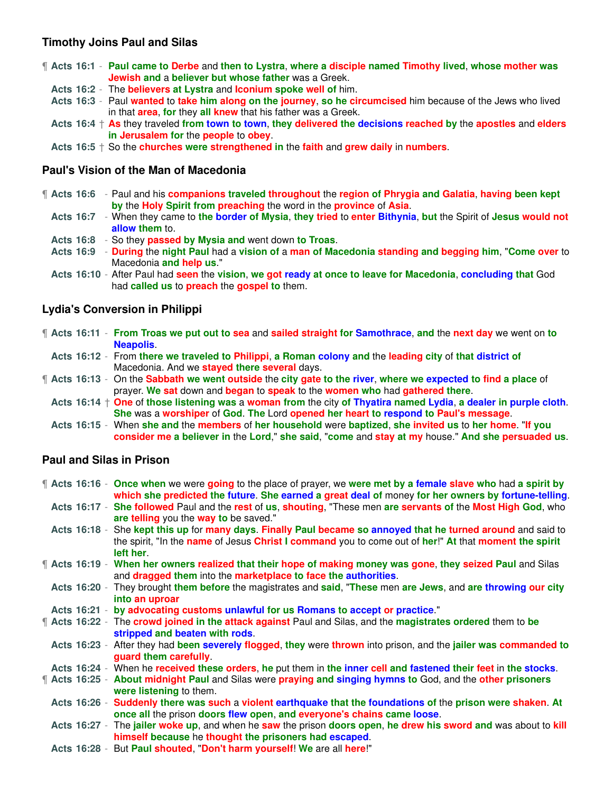### **Timothy Joins Paul and Silas**

- ¶ **Acts 16:1 Paul came to Derbe** and **then to Lystra**, **where a disciple named Timothy lived**, **whose mother was Jewish and** a **believer but whose father** was a Greek.
- **Acts 16:2** The **believers at Lystra** and **Iconium spoke well of** him.
- **Acts 16:3** Paul **wanted** to **take him along on the journey**, **so he circumcised** him because of the Jews who lived in that **area**, **for** they **all knew** that his father was a Greek.
- **Acts 16:4** † **As** they traveled **from town to town**, **they delivered the decisions reached by** the **apostles** and **elders in Jerusalem for** the **people** to **obey**.
- **Acts 16:5** † So the **churches were strengthened in** the **faith** and **grew daily** in **numbers**.

#### **Paul's Vision of the Man of Macedonia**

- ¶ **Acts 16:6** Paul and his **companions traveled throughout** the **region of Phrygia and Galatia**, **having been kept by** the **Holy Spirit from preaching** the word in the **province** of **Asia**.
	- **Acts 16:7** When they came to **the border of Mysia**, **they tried** to **enter Bithynia**, **but** the Spirit of **Jesus would not allow them** to.
	- **Acts 16:8** So they **passed by Mysia and** went down **to Troas**.
	- **Acts 16:9 During** the **night Paul** had a **vision of** a **man of Macedonia standing and begging him**, "**Come over** to Macedonia **and help us**."
	- **Acts 16:10** After Paul had **seen** the **vision**, **we got ready at once to leave for Macedonia**, **concluding that** God had **called us** to **preach** the **gospel to** them.

#### **Lydia's Conversion in Philippi**

- ¶ **Acts 16:11 From Troas we put out to sea** and **sailed straight for Samothrace**, **and** the **next day** we went on **to Neapolis**.
- **Acts 16:12** From **there we traveled to Philippi**, **a Roman colony and** the **leading city** of **that district of** Macedonia. And we **stayed there several** days.
- ¶ **Acts 16:13** On the **Sabbath we went outside** the **city gate to the river**, **where we expected to find a place** of prayer. **We sat** down and **began** to **speak** to the **women who** had **gathered there**.
	- **Acts 16:14** † **One** of **those listening was** a **woman from** the city **of Thyatira named Lydia**, **a dealer in purple cloth**. **She** was a **worshiper** of **God**. **The** Lord **opened her heart to respond to Paul's message**.
- **Acts 16:15** When **she and** the **members** of **her household** were **baptized**, **she invited us** to **her home**. "**If you consider me a believer in** the **Lord**," **she said**, "**come** and **stay at my** house." **And she persuaded us**.

#### **Paul and Silas in Prison**

¶ **Acts 16:16** - **Once when** we were **going** to the place of prayer, we **were met by a female slave who** had **a spirit by which she predicted the future**. **She earned a great deal of** money **for her owners by fortune-telling**. **Acts 16:17** - **She followed** Paul and the **rest** of **us**, **shouting**, "These men **are servants of** the **Most High God**, who

- **are telling** you the **way to** be saved." **Acts 16:18** - She **kept this up** for **many days**. **Finally Paul became so annoyed that he turned around** and said to the spirit, "In the **name** of Jesus **Christ I command** you to come out of **her**!" **At** that **moment the spirit left her**.
- ¶ **Acts 16:19 When her owners realized that their hope of making money was gone**, **they seized Paul** and Silas and **dragged them** into the **marketplace to face the authorities**.
- **Acts 16:20** They brought **them before** the magistrates and **said**, "**These** men **are Jews**, and **are throwing our city into an uproar**
- **Acts 16:21 by advocating customs unlawful for us Romans to accept or practice**."
- ¶ **Acts 16:22** The **crowd joined in the attack against** Paul and Silas, and the **magistrates ordered** them to **be stripped and beaten with rods**.
- **Acts 16:23** After they had **been severely flogged**, **they** were **thrown** into prison, and the **jailer was commanded to guard them carefully**.
- **Acts 16:24** When he **received these orders**, **he** put them in **the inner cell and fastened their feet** in **the stocks**.
- ¶ **Acts 16:25 About midnight Paul** and Silas were **praying and singing hymns to** God, and the **other prisoners were listening** to them.
	- **Acts 16:26 Suddenly there was such** a **violent earthquake that the foundations of** the **prison were shaken**. **At once all** the prison **doors flew open**, **and everyone's chains came loose**.
	- **Acts 16:27** The **jailer woke up**, and when he **saw** the prison **doors open**, **he drew his sword and** was about to **kill himself because** he **thought the prisoners had escaped**.
	- **Acts 16:28** But **Paul shouted**, "**Don't harm yourself**! **We** are all **here**!"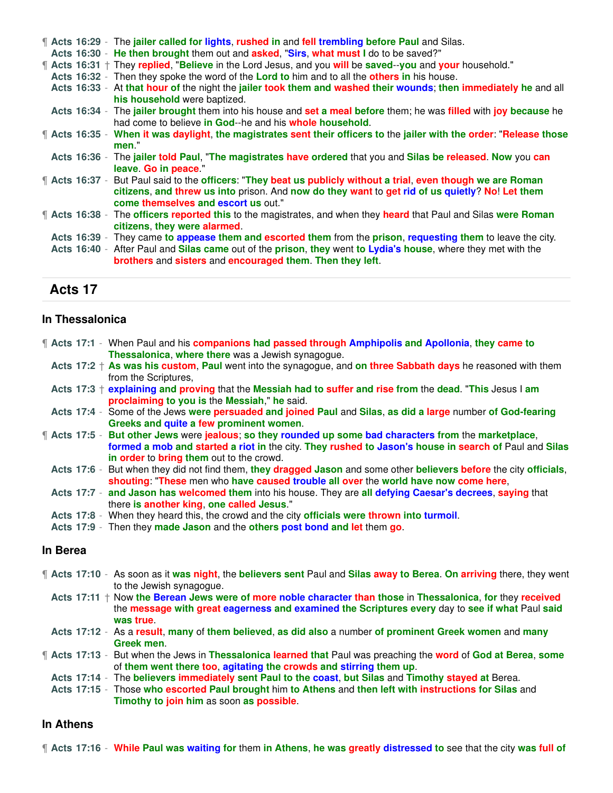|  |  | <b>f</b> Acts 16:29 - The jailer called for lights, rushed in and fell trembling before Paul and Silas.                 |
|--|--|-------------------------------------------------------------------------------------------------------------------------|
|  |  | Acts 16:30 - He then brought them out and asked, "Sirs, what must I do to be saved?"                                    |
|  |  | <b>f</b> Acts 16:31 + They replied, "Believe in the Lord Jesus, and you will be saved--you and your household."         |
|  |  | Acts 16:32 - Then they spoke the word of the Lord to him and to all the others in his house.                            |
|  |  | Acts 16:33 - At that hour of the night the jailer took them and washed their wounds; then immediately he and all        |
|  |  | his household were baptized.                                                                                            |
|  |  | Acts 16:34 - The jailer brought them into his house and set a meal before them; he was filled with joy because he       |
|  |  | had come to believe in God--he and his whole household.                                                                 |
|  |  | ¶ Acts 16:35 - When it was daylight, the magistrates sent their officers to the jailer with the order: "Release those   |
|  |  | men."                                                                                                                   |
|  |  | Acts 16:36 - The jailer told Paul, "The magistrates have ordered that you and Silas be released. Now you can            |
|  |  | leave. Go in peace."                                                                                                    |
|  |  | <b>f</b> Acts 16:37 - But Paul said to the officers: "They beat us publicly without a trial, even though we are Roman   |
|  |  | citizens, and threw us into prison. And now do they want to get rid of us quietly? No! Let them                         |
|  |  | come themselves and escort us out."                                                                                     |
|  |  | <b>f</b> Acts 16:38 - The officers reported this to the magistrates, and when they heard that Paul and Silas were Roman |
|  |  | citizens, they were alarmed.                                                                                            |
|  |  | Acts 16:39 - They came to appease them and escorted them from the prison, requesting them to leave the city.            |
|  |  | Acts 16:40 - After Paul and Silas came out of the prison, they went to Lydia's house, where they met with the           |
|  |  | brothers and sisters and encouraged them. Then they left.                                                               |
|  |  |                                                                                                                         |

### **Acts 17**

#### **In Thessalonica**

¶ **Acts 17:1** - When Paul and his **companions had passed through Amphipolis and Apollonia**, **they came to Thessalonica**, **where there** was a Jewish synagogue.

**Acts 17:2** † **As was his custom**, **Paul** went into the synagogue, and **on three Sabbath days** he reasoned with them from the Scriptures,

**Acts 17:3** † **explaining and proving** that the **Messiah had to suffer and rise from** the **dead**. "**This** Jesus I **am proclaiming to you is** the **Messiah**," **he** said.

- **Acts 17:4** Some of the Jews **were persuaded and joined Paul** and **Silas**, **as did a large** number **of God-fearing Greeks and quite a few prominent women**.
- ¶ **Acts 17:5 But other Jews** were **jealous**; **so they rounded up some bad characters from** the **marketplace**, **formed a mob and started a riot in** the city. **They rushed to Jason's house in search of** Paul and **Silas in order** to **bring them** out to the crowd.
	- **Acts 17:6** But when they did not find them, **they dragged Jason** and some other **believers before** the city **officials**, **shouting**: "**These** men who **have caused trouble all over** the **world have now come here**,
	- **Acts 17:7 and Jason has welcomed them** into his house. They are **all defying Caesar's decrees**, **saying** that there **is another king**, **one called Jesus**."
	- **Acts 17:8** When they heard this, the crowd and the city **officials were thrown into turmoil**.
- **Acts 17:9** Then they **made Jason** and the **others post bond and let** them **go**.

#### **In Berea**

- ¶ **Acts 17:10** As soon as it **was night**, the **believers sent** Paul and **Silas away to Berea**. **On arriving** there, they went to the Jewish synagogue.
	- **Acts 17:11** † Now **the Berean Jews were of more noble character than those** in **Thessalonica**, **for** they **received** the **message with great eagerness and examined the Scriptures every** day to **see if what** Paul **said was true**.
- **Acts 17:12** As a **result**, **many** of **them believed**, **as did also** a number **of prominent Greek women** and **many Greek men**.
- ¶ **Acts 17:13** But when the Jews in **Thessalonica learned that** Paul was preaching the **word** of **God at Berea**, **some** of **them went there too**, **agitating the crowds and stirring them up**.
- **Acts 17:14** The **believers immediately sent Paul to the coast**, **but Silas** and **Timothy stayed at** Berea.
- **Acts 17:15** Those **who escorted Paul brought** him **to Athens** and **then left with instructions for Silas** and **Timothy to join him** as soon **as possible**.

#### **In Athens**

¶ **Acts 17:16** - **While Paul was waiting for** them **in Athens**, **he was greatly distressed to** see that the city **was full of**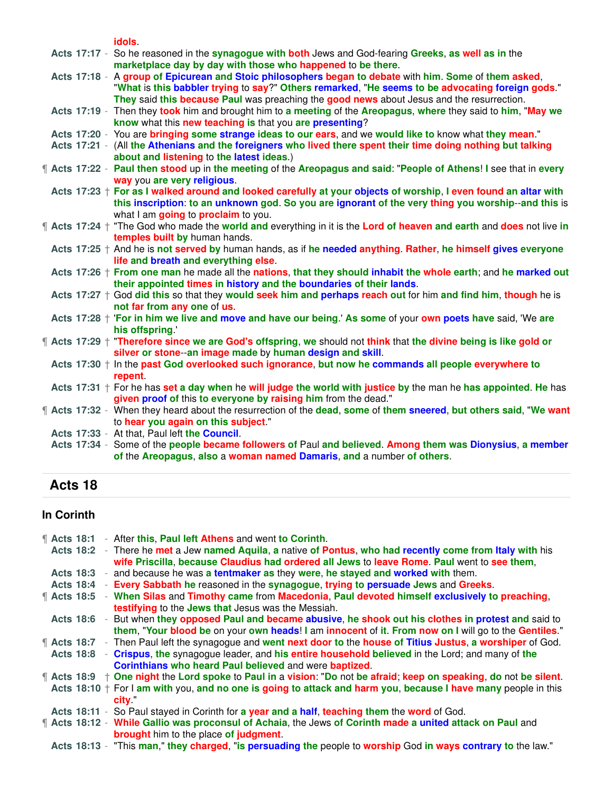**idols**.

|  | idols.                                                                                                                                                                               |
|--|--------------------------------------------------------------------------------------------------------------------------------------------------------------------------------------|
|  | Acts 17:17 - So he reasoned in the synagogue with both Jews and God-fearing Greeks, as well as in the                                                                                |
|  | marketplace day by day with those who happened to be there.                                                                                                                          |
|  | Acts 17:18 - A group of Epicurean and Stoic philosophers began to debate with him. Some of them asked,                                                                               |
|  | "What is this babbler trying to say?" Others remarked, "He seems to be advocating foreign gods."                                                                                     |
|  | They said this because Paul was preaching the good news about Jesus and the resurrection.                                                                                            |
|  | Acts 17:19 - Then they took him and brought him to a meeting of the Areopagus, where they said to him, "May we                                                                       |
|  | know what this new teaching is that you are presenting?                                                                                                                              |
|  | Acts 17:20 - You are bringing some strange ideas to our ears, and we would like to know what they mean."                                                                             |
|  | Acts 17:21 - (All the Athenians and the foreigners who lived there spent their time doing nothing but talking                                                                        |
|  | about and listening to the latest ideas.)                                                                                                                                            |
|  | The Acts 17:22 - Paul then stood up in the meeting of the Areopagus and said: "People of Athens! I see that in every                                                                 |
|  | way you are very religious.                                                                                                                                                          |
|  | Acts $17:23 +$ For as I walked around and looked carefully at your objects of worship, I even found an altar with                                                                    |
|  | this inscription: to an unknown god. So you are ignorant of the very thing you worship--and this is                                                                                  |
|  | what I am going to proclaim to you.                                                                                                                                                  |
|  | <b>f</b> Acts 17:24 + "The God who made the world and everything in it is the Lord of heaven and earth and does not live in                                                          |
|  | temples built by human hands.                                                                                                                                                        |
|  | Acts 17:25 + And he is not served by human hands, as if he needed anything. Rather, he himself gives everyone                                                                        |
|  | life and breath and everything else.                                                                                                                                                 |
|  | Acts 17:26 + From one man he made all the nations, that they should inhabit the whole earth; and he marked out                                                                       |
|  | their appointed times in history and the boundaries of their lands.                                                                                                                  |
|  | Acts $17:27 \dagger$ God did this so that they would seek him and perhaps reach out for him and find him, though he is                                                               |
|  | not far from any one of us.                                                                                                                                                          |
|  | Acts 17:28 + 'For in him we live and move and have our being.' As some of your own poets have said, 'We are                                                                          |
|  | his offspring."                                                                                                                                                                      |
|  | <b>f</b> Acts 17:29 + "Therefore since we are God's offspring, we should not think that the divine being is like gold or<br>silver or stone-an image made by human design and skill. |
|  | Acts $17:30 + \ln \theta$ in the past God overlooked such ignorance, but now he commands all people everywhere to                                                                    |
|  | repent.                                                                                                                                                                              |
|  | Acts $17:31 +$ For he has set a day when he will judge the world with justice by the man he has appointed. He has                                                                    |
|  | given proof of this to everyone by raising him from the dead."                                                                                                                       |
|  | The Acts 17:32 - When they heard about the resurrection of the dead, some of them sneered, but others said, "We want                                                                 |
|  | to hear you again on this subject."                                                                                                                                                  |
|  | Acts 17:33 - At that, Paul left the Council.                                                                                                                                         |
|  | Acts 17:34 - Some of the people became followers of Paul and believed. Among them was Dionysius, a member                                                                            |
|  | of the Areopagus, also a woman named Damaris, and a number of others.                                                                                                                |
|  |                                                                                                                                                                                      |

# **Acts 18**

# **In Corinth**

| $\P$ Acts 18:1   |                       | - After this, Paul left Athens and went to Corinth.                                                                     |
|------------------|-----------------------|-------------------------------------------------------------------------------------------------------------------------|
|                  |                       | Acts 18:2 - There he met a Jew named Aquila, a native of Pontus, who had recently come from Italy with his              |
|                  |                       | wife Priscilla, because Claudius had ordered all Jews to leave Rome. Paul went to see them,                             |
| <b>Acts 18:3</b> |                       | and because he was a tentmaker as they were, he stayed and worked with them.                                            |
|                  |                       | Acts 18:4 - Every Sabbath he reasoned in the synagogue, trying to persuade Jews and Greeks.                             |
|                  | $\parallel$ Acts 18:5 | - When Silas and Timothy came from Macedonia, Paul devoted himself exclusively to preaching,                            |
|                  |                       | testifying to the Jews that Jesus was the Messiah.                                                                      |
|                  |                       | Acts 18:6 - But when they opposed Paul and became abusive, he shook out his clothes in protest and said to              |
|                  |                       | them, "Your blood be on your own heads! I am innocent of it. From now on I will go to the Gentiles."                    |
|                  |                       | <b>f</b> Acts 18:7 - Then Paul left the synagogue and went next door to the house of Titius Justus, a worshiper of God. |
|                  |                       | Acts 18:8 - Crispus, the synagogue leader, and his entire household believed in the Lord; and many of the               |
|                  |                       | Corinthians who heard Paul believed and were baptized.                                                                  |
|                  |                       | ¶ Acts 18:9 ↑ One night the Lord spoke to Paul in a vision: "Do not be afraid; keep on speaking, do not be silent.      |
|                  |                       | Acts 18:10 $+$ For I am with you, and no one is going to attack and harm you, because I have many people in this        |
|                  |                       | <b>city</b>                                                                                                             |
|                  |                       | Acts 18:11 - So Paul stayed in Corinth for a year and a half, teaching them the word of God.                            |
|                  |                       | <b>f</b> Acts 18:12 - While Gallio was proconsul of Achaia, the Jews of Corinth made a united attack on Paul and        |
|                  |                       | <b>brought</b> him to the place of judgment.                                                                            |
|                  |                       | Acts 18:13 - "This man," they charged, "is persuading the people to worship God in ways contrary to the law."           |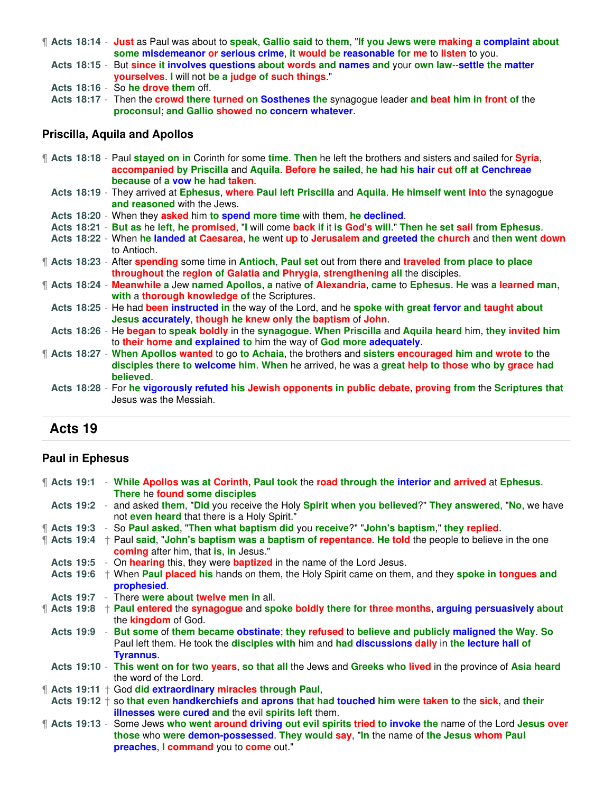- ¶ **Acts 18:14 Just** as Paul was about to **speak**, **Gallio said** to **them**, "**If you Jews were making a complaint about some misdemeanor or serious crime**, **it would be reasonable for me** to **listen** to you.
	- **Acts 18:15** But **since it involves questions about words and names and** your **own law**--**settle the matter yourselves**. **I** will not **be a judge of such things**."
	- **Acts 18:16** So **he drove them** off.
	- **Acts 18:17** Then the **crowd there turned on Sosthenes the** synagogue leader **and beat him in front of** the **proconsul**; **and Gallio showed no concern whatever**.

#### **Priscilla, Aquila and Apollos**

- ¶ **Acts 18:18** Paul **stayed on in** Corinth for some **time**. **Then** he left the brothers and sisters and sailed for **Syria**, **accompanied by Priscilla** and **Aquila**. **Before he sailed**, **he had his hair cut off at Cenchreae because** of **a vow he had taken**.
	- **Acts 18:19** They arrived at **Ephesus**, **where Paul left Priscilla** and **Aquila**. **He himself went into** the synagogue **and reasoned** with the Jews.
- **Acts 18:20** When they **asked** him **to spend more time** with them, **he declined**.
- **Acts 18:21 But as** he **left**, **he promised**, "**I** will come **back if** it **is God's will**." **Then he set sail from Ephesus**.
- **Acts 18:22** When **he landed at Caesarea**, **he** went **up** to **Jerusalem and greeted the church** and **then went down** to Antioch.
- ¶ **Acts 18:23** After **spending** some time in **Antioch**, **Paul set** out from there and **traveled from place to place throughout** the **region of Galatia and Phrygia**, **strengthening all** the disciples.
- ¶ **Acts 18:24 Meanwhile a** Jew **named Apollos**, **a** native **of Alexandria**, **came** to **Ephesus**. **He** was **a learned man**, **with** a **thorough knowledge of** the Scriptures.
- **Acts 18:25** He had **been instructed in** the way of the Lord, and he **spoke with great fervor and taught about Jesus accurately**, **though he knew only the baptism** of **John**.
- **Acts 18:26** He **began** to **speak boldly** in the **synagogue**. **When Priscilla** and **Aquila heard** him, **they invited him** to **their home and explained to** him the way of **God more adequately**.
- ¶ **Acts 18:27 When Apollos wanted** to go **to Achaia**, the brothers and **sisters encouraged him and wrote to** the **disciples there to welcome him**. **When** he arrived, he was a **great help to those who by grace had believed**.
	- **Acts 18:28** For **he vigorously refuted his Jewish opponents in public debate**, **proving from** the **Scriptures that** Jesus was the Messiah.

### **Acts 19**

#### **Paul in Ephesus**

|  |  | <b>f</b> Acts 19:1 - While Apollos was at Corinth, Paul took the road through the interior and arrived at Ephesus.<br>There he found some disciples                                                                                                      |
|--|--|----------------------------------------------------------------------------------------------------------------------------------------------------------------------------------------------------------------------------------------------------------|
|  |  | Acts 19:2 - and asked them, "Did you receive the Holy Spirit when you believed?" They answered, "No, we have<br>not even heard that there is a Holy Spirit."                                                                                             |
|  |  | <b>f</b> Acts 19:3 - So Paul asked, "Then what baptism did you receive?" "John's baptism," they replied.                                                                                                                                                 |
|  |  | $\parallel$ Acts 19:4 $\pm$ Paul said, "John's baptism was a baptism of repentance. He told the people to believe in the one<br>coming after him, that is, in Jesus."                                                                                    |
|  |  | Acts 19:5 - On hearing this, they were baptized in the name of the Lord Jesus.                                                                                                                                                                           |
|  |  | Acts 19:6 + When Paul placed his hands on them, the Holy Spirit came on them, and they spoke in tongues and<br>prophesied.                                                                                                                               |
|  |  | Acts 19:7 - There were about twelve men in all.                                                                                                                                                                                                          |
|  |  | $\parallel$ Acts 19:8 $\pm$ Paul entered the synagogue and spoke boldly there for three months, arguing persuasively about<br>the <b>kingdom</b> of God.                                                                                                 |
|  |  | Acts 19:9 - But some of them became obstinate; they refused to believe and publicly maligned the Way. So<br>Paul left them. He took the disciples with him and had discussions daily in the lecture hall of                                              |
|  |  | <b>Tyrannus.</b><br>Acts 19:10 - This went on for two years, so that all the Jews and Greeks who lived in the province of Asia heard                                                                                                                     |
|  |  | the word of the Lord.                                                                                                                                                                                                                                    |
|  |  | <b>f</b> Acts 19:11 + God did extraordinary miracles through Paul,                                                                                                                                                                                       |
|  |  | Acts $19:12 +$ so that even handkerchiefs and aprons that had touched him were taken to the sick, and their<br>illnesses were cured and the evil spirits left them.                                                                                      |
|  |  | <b>f</b> Acts 19:13 - Some Jews who went around driving out evil spirits tried to invoke the name of the Lord Jesus over<br>those who were demon-possessed. They would say, "In the name of the Jesus whom Paul<br>preaches, I command you to come out." |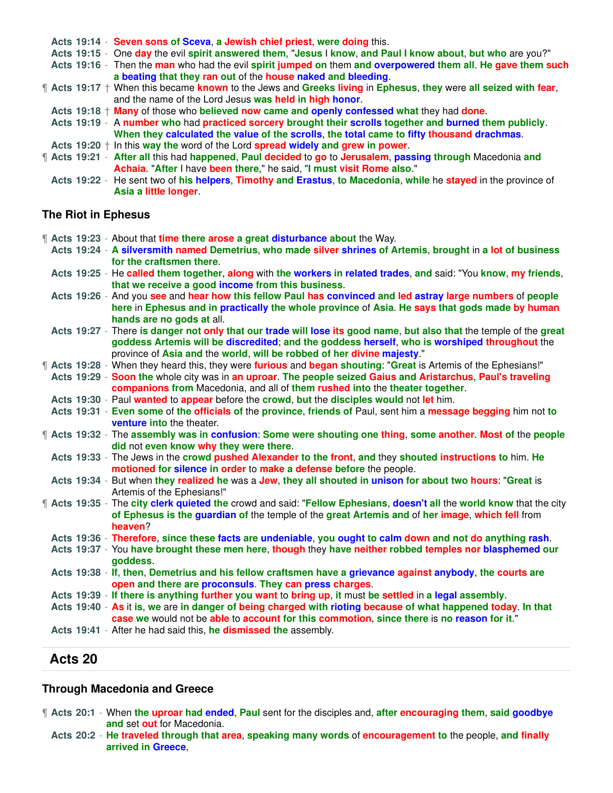**Acts 19:14** - **Seven sons of Sceva**, **a Jewish chief priest**, **were doing** this. **Acts 19:15** - One **day** the evil **spirit answered them**, "**Jesus** I **know**, **and Paul I know about**, **but who** are you?" **Acts 19:16** - Then the **man** who had the evil **spirit jumped on** them **and overpowered them all**. **He gave them such a beating that they ran out** of the **house naked and bleeding**. ¶ **Acts 19:17** † When this became **known** to the Jews and **Greeks living** in **Ephesus**, **they** were **all seized with fear**, and the name of the Lord Jesus **was held in high honor**. **Acts 19:18** † **Many** of those who **believed now came and openly confessed what** they had **done**. **Acts 19:19** - A **number who** had **practiced sorcery brought their scrolls together and burned them publicly**. **When they calculated the value of the scrolls**, **the total came to fifty thousand drachmas**. **Acts 19:20** † In this **way the** word of the Lord **spread widely and grew in power**. ¶ **Acts 19:21** - **After all** this had **happened**, **Paul decided** to **go** to **Jerusalem**, **passing through** Macedonia **and Achaia**. "**After** I have **been there**," he said, "**I must visit Rome also**." **Acts 19:22** - He sent two of **his helpers**, **Timothy and Erastus**, **to Macedonia**, **while** he **stayed** in the province of

#### **The Riot in Ephesus**

**Asia a little longer**.

¶ **Acts 19:23** - About that **time there arose a great disturbance about** the Way.

- **Acts 19:24 A silversmith named Demetrius**, **who made silver shrines of Artemis**, **brought** in **a lot of business for the craftsmen there**.
	- **Acts 19:25** He **called them together**, **along** with **the workers in related trades**, **and** said: "You **know**, **my friends**, **that we receive a good income from this business**.
	- **Acts 19:26** And you **see** and **hear how this fellow Paul has convinced and led astray large numbers** of **people here** in **Ephesus and in practically the whole province** of **Asia**. **He says that gods made by human hands are no gods at** all.
- **Acts 19:27** There **is danger not only that our trade will lose its good name**, **but also that** the temple of the **great goddess Artemis will be discredited**; **and the goddess herself**, **who is worshiped throughout** the province of **Asia and** the **world**, **will be robbed of her divine majesty**."
- ¶ **Acts 19:28** When they heard this, they were **furious** and **began shouting**: "**Great** is Artemis of the Ephesians!"
- **Acts 19:29 Soon the** whole city was in **an uproar**. **The people seized Gaius and Aristarchus**, **Paul's traveling companions from** Macedonia, and all of **them rushed into** the **theater together**.
- **Acts 19:30** Paul **wanted** to **appear** before the **crowd**, **but** the **disciples would** not **let** him.
- **Acts 19:31 Even some** of **the officials of** the **province**, **friends of** Paul, sent him a **message begging** him not **to venture into** the theater.
- ¶ **Acts 19:32** The **assembly was in confusion**: **Some were shouting one thing**, **some another**. **Most of** the **people did** not **even know why they were there**.
- **Acts 19:33** The Jews in the **crowd pushed Alexander to the front**, **and** they **shouted instructions to** him. **He motioned for silence in order** to **make a defense before** the people.
- **Acts 19:34** But when **they realized he** was a **Jew**, **they all shouted in unison for about two hours**: "**Great** is Artemis of the Ephesians!"
- ¶ **Acts 19:35** The **city clerk quieted the** crowd and said: "**Fellow Ephesians**, **doesn't all** the **world know** that the city **of Ephesus is the guardian of** the temple of the **great Artemis and** of **her image**, **which fell** from **heaven**?
	- **Acts 19:36 Therefore**, **since these facts are undeniable**, **you ought to calm down and not do anything rash**.
	- **Acts 19:37** You **have brought these men here**, **though** they **have neither robbed temples nor blasphemed our goddess**.
	- **Acts 19:38 If**, **then**, **Demetrius and his fellow craftsmen have a grievance against anybody**, **the courts are open and there are proconsuls**. **They can press charges**.
- **Acts 19:39 If there is anything further you want** to **bring up**, **it** must **be settled** in **a legal assembly**.
- **Acts 19:40 As** it **is**, **we** are **in danger of being charged with rioting because of what happened today**. **In that case we** would not be **able** to **account for this commotion**, **since there** is **no reason for it**."
- **Acts 19:41** After he had said this, **he dismissed the** assembly.

#### **Acts 20**

#### **Through Macedonia and Greece**

- ¶ **Acts 20:1** When **the uproar had ended**, **Paul** sent for the disciples and, **after encouraging them**, **said goodbye and** set **out** for Macedonia.
	- **Acts 20:2 He traveled through that area**, **speaking many words** of **encouragement to** the people, **and finally arrived in Greece**,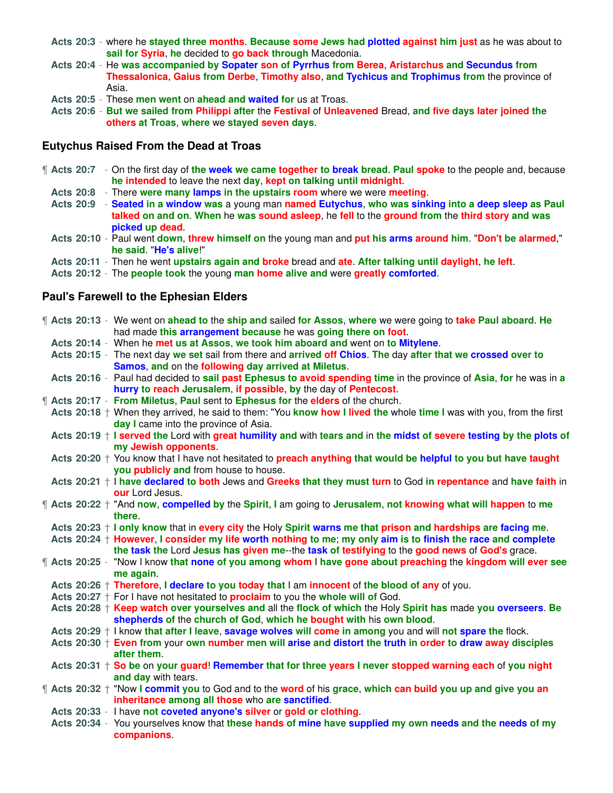- **Acts 20:3** where he **stayed three months**. **Because some Jews had plotted against him just** as he was about to **sail for Syria**, **he** decided to **go back through** Macedonia.
- **Acts 20:4** He **was accompanied by Sopater son of Pyrrhus from Berea**, **Aristarchus and Secundus from Thessalonica**, **Gaius from Derbe**, **Timothy also**, **and Tychicus and Trophimus from** the province of Asia.
- **Acts 20:5** These **men went** on **ahead and waited for** us at Troas.
- **Acts 20:6 But we sailed from Philippi after** the **Festival** of **Unleavened** Bread, **and five days later joined the others at Troas**, **where** we **stayed seven days**.

#### **Eutychus Raised From the Dead at Troas**

- ¶ **Acts 20:7** On the first day of **the week we came together to break bread**. **Paul spoke** to the people and, because **he intended** to leave the next **day**, **kept on talking until midnight**.
	- **Acts 20:8** There **were many lamps in the upstairs room** where we were **meeting**.
	- **Acts 20:9 Seated in a window was** a young man **named Eutychus**, **who was sinking into a deep sleep as Paul talked on and on**. **When** he **was sound asleep**, he **fell** to the **ground from** the **third story and was picked up dead**.
	- **Acts 20:10** Paul went **down**, **threw himself on** the young man and **put his arms around him**. "**Don't be alarmed**," **he said**. "**He's alive**!"
	- **Acts 20:11** Then he went **upstairs again and broke** bread and **ate**. **After talking until daylight**, **he left**.
	- **Acts 20:12** The **people took** the young **man home alive and** were **greatly comforted**.

#### **Paul's Farewell to the Ephesian Elders**

|  |  | ¶ Acts 20:13 - We went on ahead to the ship and sailed for Assos, where we were going to take Paul aboard. He<br>had made this arrangement because he was going there on foot. |
|--|--|--------------------------------------------------------------------------------------------------------------------------------------------------------------------------------|
|  |  | Acts 20:14 - When he met us at Assos, we took him aboard and went on to Mitylene.                                                                                              |
|  |  | Acts 20:15 - The next day we set sail from there and arrived off Chios. The day after that we crossed over to                                                                  |
|  |  | Samos, and on the following day arrived at Miletus.                                                                                                                            |
|  |  | Acts 20:16 - Paul had decided to sail past Ephesus to avoid spending time in the province of Asia, for he was in a                                                             |
|  |  | hurry to reach Jerusalem, if possible, by the day of Pentecost.                                                                                                                |
|  |  | 1 Acts 20:17 - From Miletus, Paul sent to Ephesus for the elders of the church.                                                                                                |
|  |  | Acts 20:18 $+$ When they arrived, he said to them: "You know how I lived the whole time I was with you, from the first                                                         |
|  |  | day I came into the province of Asia.                                                                                                                                          |
|  |  | Acts 20:19 + I served the Lord with great humility and with tears and in the midst of severe testing by the plots of                                                           |
|  |  | my Jewish opponents.                                                                                                                                                           |
|  |  | Acts 20:20 $+$ You know that I have not hesitated to <b>preach anything that would be helpful to you but have taught</b>                                                       |
|  |  | you publicly and from house to house.                                                                                                                                          |
|  |  | Acts 20:21 $+$ I have declared to both Jews and Greeks that they must turn to God in repentance and have faith in                                                              |
|  |  | our Lord Jesus.                                                                                                                                                                |
|  |  | ¶ Acts 20:22 † "And now, compelled by the Spirit, I am going to Jerusalem, not knowing what will happen to me                                                                  |
|  |  | there.                                                                                                                                                                         |
|  |  | Acts 20:23 + I only know that in every city the Holy Spirit warns me that prison and hardships are facing me.                                                                  |
|  |  | Acts 20:24 $+$ However, I consider my life worth nothing to me; my only aim is to finish the race and complete                                                                 |
|  |  | the task the Lord Jesus has given me--the task of testifying to the good news of God's grace.                                                                                  |
|  |  | T Acts 20:25 - "Now I know that none of you among whom I have gone about preaching the kingdom will ever see                                                                   |
|  |  | me again.                                                                                                                                                                      |
|  |  | Acts 20:26 $+$ Therefore, I declare to you today that I am innocent of the blood of any of you.                                                                                |
|  |  | Acts $20:27 + For I$ have not hesitated to <b>proclaim</b> to you the whole will of God.                                                                                       |
|  |  | Acts 20:28 + Keep watch over yourselves and all the flock of which the Holy Spirit has made you overseers. Be                                                                  |
|  |  | shepherds of the church of God, which he bought with his own blood.                                                                                                            |
|  |  | Acts $20:29 + I$ know that after I leave, savage wolves will come in among you and will not spare the flock.                                                                   |
|  |  | Acts $20:30 \dagger$ Even from your own number men will arise and distort the truth in order to draw away disciples                                                            |
|  |  | after them.                                                                                                                                                                    |
|  |  | Acts 20:31 $+$ So be on your guard! Remember that for three years I never stopped warning each of you night                                                                    |
|  |  | and day with tears.                                                                                                                                                            |
|  |  | ¶ Acts 20:32 † "Now I commit you to God and to the word of his grace, which can build you up and give you an                                                                   |
|  |  | inheritance among all those who are sanctified.                                                                                                                                |
|  |  | Acts 20:33 - I have not coveted anyone's silver or gold or clothing.                                                                                                           |
|  |  | Acts 20:34 - You yourselves know that these hands of mine have supplied my own needs and the needs of my                                                                       |
|  |  | companions.                                                                                                                                                                    |